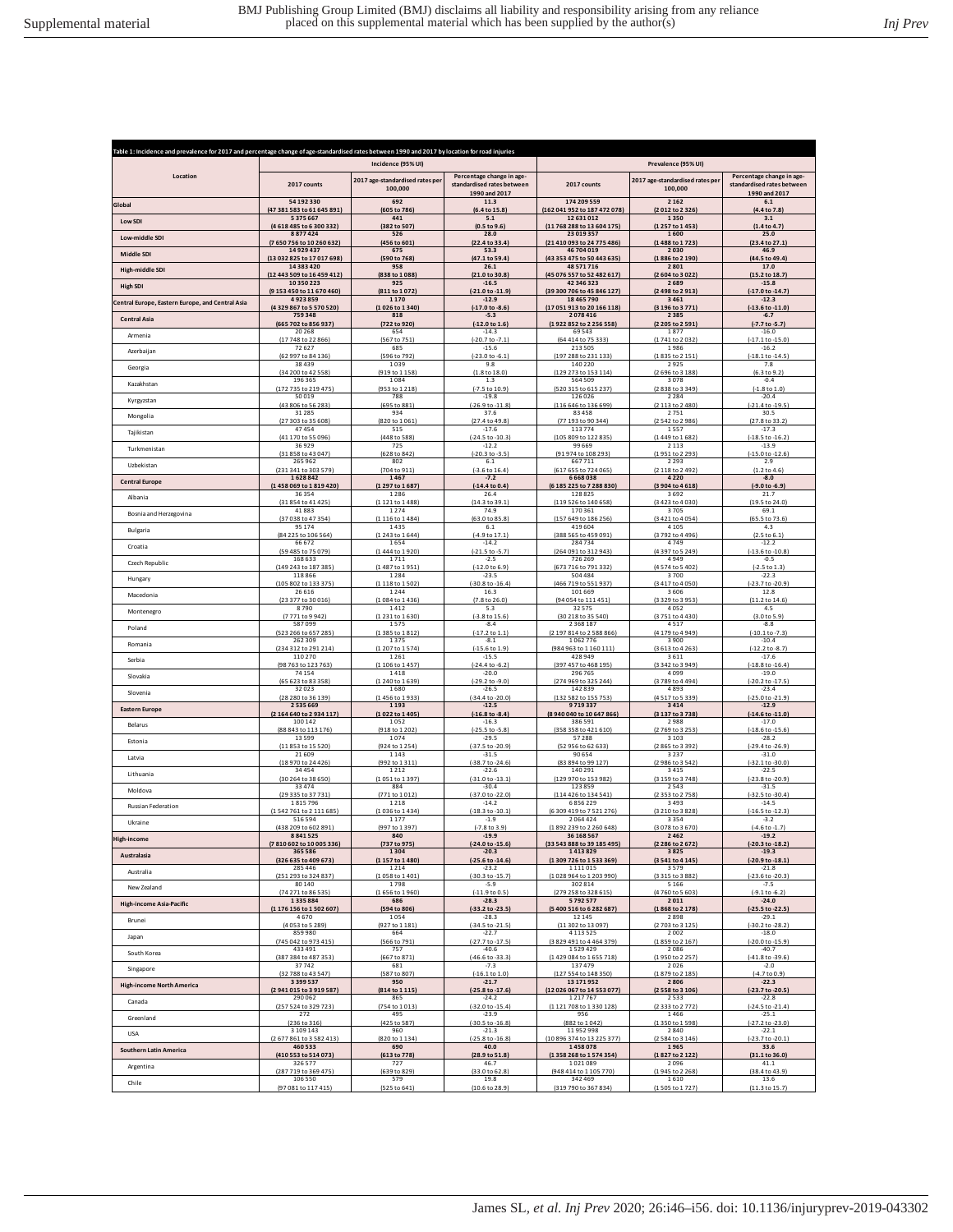|                                                  | Table 1: Incidence and prevalence for 2017 and percentage change of age-standardised rates between 1990 and 2017 by location for road injuries<br>Incidence (95% UI) |                                              | Prevalence (95% UI)                                                      |                                                         |                                            |                                                                          |
|--------------------------------------------------|----------------------------------------------------------------------------------------------------------------------------------------------------------------------|----------------------------------------------|--------------------------------------------------------------------------|---------------------------------------------------------|--------------------------------------------|--------------------------------------------------------------------------|
| Location                                         | 2017 counts                                                                                                                                                          | 2017 age-standardised rates per<br>100,000   | Percentage change in age-<br>standardised rates between<br>1990 and 2017 | 2017 counts                                             | 2017 age-standardised rates per<br>100,000 | Percentage change in age-<br>standardised rates between<br>1990 and 2017 |
| Global                                           | 54192330                                                                                                                                                             | 692                                          | 11.3                                                                     | 174 209 559                                             | 2162                                       | 6.1                                                                      |
|                                                  | (47 381 583 to 61 645 891)                                                                                                                                           | (605 to 786)                                 | (6.4 to 15.8)                                                            | (162 041 952 to 187 472 078)                            | (2012 to 2326)                             | (4.4 to 7.8)                                                             |
| Low SDI                                          | 5375667                                                                                                                                                              | 441                                          | 5.1                                                                      | 12 631 012                                              | 1350                                       | 3.1                                                                      |
|                                                  | (4618485to6300332)                                                                                                                                                   | (382 to 507)                                 | (0.5 to 9.6)                                                             | (11 768 288 to 13 604 175)                              | (1257 to 1453)                             | (1.4 to 4.7)                                                             |
| Low-middle SD                                    | 8877424                                                                                                                                                              | 526                                          | 28.0                                                                     | 23 019 357                                              | 1600                                       | 25.0                                                                     |
|                                                  | (7650756 to 10260632)                                                                                                                                                | (456 to 601)                                 | (22.4 to 33.4)                                                           | (21 410 093 to 24 775 486)                              | (1488 to 1723)                             | (23.4 to 27.1)                                                           |
| Middle SDI                                       | 14929437                                                                                                                                                             | 675                                          | 53.3                                                                     | 46 704 019                                              | 2030                                       | 46.9                                                                     |
|                                                  | (13 032 825 to 17 017 698)                                                                                                                                           | (590 to 768)                                 | (47.1 to 59.4)                                                           | (43 353 475 to 50 443 635)                              | (1886 to 2 190)                            | (44.5 to 49.4)                                                           |
| High-middle SDI                                  | 14383420                                                                                                                                                             | 958                                          | 26.1                                                                     | 48 571 716                                              | 2801                                       | 17.0                                                                     |
|                                                  | (12 443 509 to 16 459 412)                                                                                                                                           | (838 to 1088)                                | (21.0 to 30.8)                                                           | (45 076 557 to 52 482 617)                              | (2604 to 3022)                             | (15.2 to 18.7)                                                           |
| <b>High SDI</b>                                  | 10350223                                                                                                                                                             | 925                                          | $-16.5$                                                                  | 42 346 323                                              | 2689                                       | $-15.8$                                                                  |
|                                                  | (9 153 450 to 11 670 460)                                                                                                                                            | (811 to 1072)                                | (-21.0 to -11.9)                                                         | (39 300 706 to 45 846 127)                              | (2498 to 2913)                             | (-17.0 to -14.7)                                                         |
| Central Europe, Eastern Europe, and Central Asia | 4923859                                                                                                                                                              | 1 1 7 0                                      | $-12.9$                                                                  | 18 465 790                                              | 3461                                       | $-12.3$                                                                  |
|                                                  | (4329867 to 5570520)                                                                                                                                                 | (1026 to 1340)                               | (-17.0 to -8.6)                                                          | (17 051 913 to 20 166 118)                              | (3 196 to 3 771)                           | $(-13.6 \text{ to } -11.0)$                                              |
| <b>Central Asia</b>                              | 759348                                                                                                                                                               | 818                                          | $-5.3$                                                                   | 2078416                                                 | 2385                                       | $-6.7$                                                                   |
|                                                  | (665 702 to 856 937)                                                                                                                                                 | (722 to 920)                                 | $(-12.0 to 1.6)$                                                         | (1922 852 to 2256 558)                                  | (2 205 to 2 591)                           | (-7.7 to -5.7)                                                           |
| Armenia                                          | 20268                                                                                                                                                                | 654                                          | $-14.3$                                                                  | 69543                                                   | 1877                                       | $-16.0$                                                                  |
|                                                  | (17 748 to 22 866)                                                                                                                                                   | (567 to 751)                                 | $(-20.7 to -7.1)$                                                        | (64 414 to 75 333)                                      | (1741 to 2032)                             | $(-17.1 to -15.0)$                                                       |
| Azerbaijan                                       | 72627<br>(62 997 to 84 136)                                                                                                                                          | 685<br>(596 to 792)                          | $-15.6$<br>$[-23.0 \text{ to } -6.1]$                                    | 213 505<br>7288 to 231 133<br>(197                      | 1986<br>(1835 to 2151                      | $-16.2$<br>$(-18.1 to -14.5)$                                            |
| Georgia                                          | 38439                                                                                                                                                                | 1039                                         | 9.8                                                                      | 140 220                                                 | 2925                                       | 7.8                                                                      |
|                                                  | (34 200 to 42 558)                                                                                                                                                   | (919 to 1 158)                               | (1.8 to 18.0)                                                            | (129 273 to 153 114)                                    | (2696 to 3188)                             | (6.3 to 9.2)                                                             |
| Kazakhstan                                       | 196 365                                                                                                                                                              | 1084                                         | 1.3                                                                      | 564 509                                                 | 3078                                       | $-0.4$                                                                   |
|                                                  | (172 735 to 219 475)                                                                                                                                                 | (953 to 1 218)                               | (-7.5 to 10.9)                                                           | (520 315 to 615 237)                                    | (2838 to 3349)                             | $(-1.8 to 1.0)$                                                          |
| Kyrgyzstan                                       | 50019                                                                                                                                                                | 788                                          | $-19.8$                                                                  | 126 026                                                 | 2284                                       | $-20.4$                                                                  |
|                                                  | (43 806 to 56 283)                                                                                                                                                   | (695 to 881)                                 | $(-26.9 \text{ to } -11.8)$                                              | (116 646 to 136 699)                                    | (2 113 to 2 480)                           | (-21.4 to -19.5)                                                         |
| Mongolia                                         | 31285                                                                                                                                                                | 934                                          | 37.6                                                                     | 83458                                                   | 2751                                       | 30.5                                                                     |
|                                                  | (27 303 to 35 608                                                                                                                                                    | (820 to 1061)                                | (27.4 to 49.8)                                                           | (77 193 to 90 344)                                      | (2542 to 2986)                             | (27.8 to 33.2)                                                           |
| Tajikistan                                       | 47454<br>(41 170 to 55 096)                                                                                                                                          | 515<br>(448 to 588)                          | $-17.6$                                                                  | 113774<br>(105 809 to 122 835)                          | 1557<br>(1449 to 1682)                     | $-17.3$                                                                  |
| Turkmenistan                                     | 36929<br>(31 858 to 43 047)                                                                                                                                          | 725<br>(628 to 842)                          | $(-24.5$ to $-10.3)$<br>$-12.2$<br>$(-20.3 to -3.5)$                     | 99 669<br>(91 974 to 108 293)                           | 2113<br>(1951 to 2 293)                    | $(-18.5$ to $-16.2)$<br>$-13.9$<br>$(-15.0 to -12.6)$                    |
| Uzbekistan                                       | 265 962                                                                                                                                                              | 802                                          | 6.1                                                                      | 667711                                                  | 2293                                       | 2.9                                                                      |
|                                                  | (231 341 to 303 579)                                                                                                                                                 | (704 to 911)                                 | $(-3.6 \text{ to } 16.4)$                                                | (617 655 to 724 065)                                    | (2 118 to 2 492)                           | (1.2 to 4.6)                                                             |
| <b>Central Europe</b>                            | 1628842<br>(1458 069 to 1819 420)                                                                                                                                    | 1467                                         | $-7.2$<br>$1-4.4$ to 0.4                                                 | 6668038<br>(6 185 225 to 7 288 830)                     | 4220<br>(3904 to 4618)                     | $-8.0$<br>$(-9.0 to -6.9)$                                               |
| Albania                                          | 36354<br>(31854 to 41425)                                                                                                                                            | (1297 to 1687)<br>1286                       | 26.4                                                                     | 128825                                                  | 3692                                       | 21.7<br>(19.5 to 24.0)                                                   |
| Bosnia and Herzegovina                           | 41883<br>(37 038 to 47 354)                                                                                                                                          | (1 121 to 1 488)<br>1274<br>(1 116 to 1 484) | (14.3 to 39.1)<br>74.9<br>(63.0 to 85.8)                                 | (119 526 to 140 658)<br>170 361<br>(157 649 to 186 256) | (3423 to 4030)<br>3705<br>(3421 to 4054)   | 69.1<br>(65.5 to 73.6)                                                   |
| Bulgaria                                         | 95174<br>(84 225 to 106 564)                                                                                                                                         | 1435<br>(1243 to 1644)                       | $6.1\,$<br>(-4.9 to 17.1)                                                | 419 604<br>(388 565 to 459 091)                         | 4105<br>(3792 to 4496)                     | 4.3                                                                      |
| Croatia                                          | 66672                                                                                                                                                                | 1654                                         | $-14.2$<br>$(-21.5)$ to $-5.7$                                           | 284734                                                  | 4749                                       | $(2.5 \text{ to } 6.1)$<br>$-12.2$                                       |
| Czech Republic                                   | (59 485 to 75 079)<br>168 633                                                                                                                                        | (1444 to 1920)<br>1711                       | $-2.5$                                                                   | (264 091 to 312 943)<br>726 269                         | (4397 to 5249)<br>4949                     | (-13.6 to -10.8)<br>$-0.5$                                               |
| Hungary                                          | (149 243 to 187 385)                                                                                                                                                 | (1487 to 1951)                               | $(-12.0 to 6.9)$                                                         | (673 716 to 791 332)                                    | (4574 to 5402)                             | $(-2.5 to 1.3)$                                                          |
|                                                  | 118866                                                                                                                                                               | 1284                                         | $-23.5$                                                                  | 504 484                                                 | 3700                                       | $-22.3$                                                                  |
| Macedonia                                        | (105 802 to 133 375)                                                                                                                                                 | (1 118 to 1 502)                             | (-30.8 to -16.4                                                          | (466 719 to 551 937)                                    | (3417 to 4050)                             | $(-23.7)$ to $-20.9$                                                     |
|                                                  | 26616                                                                                                                                                                | 1244                                         | 16.3                                                                     | 101 669                                                 | 3606                                       | 12.8                                                                     |
| Montenegro                                       | (23 377 to 30 016)                                                                                                                                                   | (1084 to 1436)                               | (7.8 to 26.0)                                                            | (94 054 to 111 451)                                     | (3329 to 3953)                             | (11.2 to 14.6)                                                           |
|                                                  | 8790                                                                                                                                                                 | 1412                                         | 5.3                                                                      | 32575                                                   | 4052                                       | 4.5                                                                      |
| Poland                                           | (7771 to 9942                                                                                                                                                        | (1231 to 1630                                | (-3.8 to 15.6                                                            | (30 218 to 35 540)                                      | (3751 to 4430                              | (3.0 to 5.9)                                                             |
|                                                  | 587099                                                                                                                                                               | 1575                                         | $-8.4$                                                                   | 2 3 6 8 1 8 7                                           | 4517                                       | $-8.8$                                                                   |
| Romania                                          | (523 266 to 657 285)                                                                                                                                                 | (1385 to 1812)                               | $(-17.2 \text{ to } 1.1)$                                                | (2 197 814 to 2 588 866)                                | (4179 to 4949)                             | $(-10.1 to -7.3)$                                                        |
|                                                  | 262 309                                                                                                                                                              | 1375                                         | $-8.1$                                                                   | 1062776                                                 | 3900                                       | $-10.4$                                                                  |
| Serbia                                           | (234 312 to 291 214)                                                                                                                                                 | (1 207 to 1 574)                             | $(-15.6 \text{ to } 1.9)$                                                | (984 963 to 1 160 111)                                  | (3613 to 4263)                             | $(-12.2 \text{ to } -8.7)$                                               |
|                                                  | 110 270                                                                                                                                                              | 1 2 6 1                                      | $-15.5$                                                                  | 428949                                                  | 3611                                       | $-17.6$                                                                  |
| Slovakia                                         | (98 763 to 123 763)                                                                                                                                                  | (1 106 to 1 457)                             | $(-24.4 \text{ to } -6.2)$                                               | (397 457 to 468 195)                                    | (3342 to 3949)                             | $(-18.8$ to $-16.4)$                                                     |
|                                                  | 74154                                                                                                                                                                | 1418                                         | $-20.0$                                                                  | 296 765                                                 | 4099                                       | $-19.0$                                                                  |
| Slovenia                                         | (65 623 to 83 358)                                                                                                                                                   | (1 240 to 1 639)                             | $(-29.2 \text{ to } -9.0)$                                               | (274 969 to 325 244)                                    | (3789 to 4494)                             | (-20.2 to -17.5)                                                         |
|                                                  | 32023                                                                                                                                                                | 1680                                         | $-26.5$                                                                  | 142839                                                  | 4893                                       | $-23.4$                                                                  |
| <b>Eastern Europe</b>                            | (28 280 to 36 139)                                                                                                                                                   | (1456 to 1933)                               | (-34.4 to -20.0)                                                         | (132 582 to 155 753)                                    | (4517 to 5339)                             | (-25.0 to -21.9)                                                         |
|                                                  | 2535669                                                                                                                                                              | 1 1 9 3                                      | $-12.5$                                                                  | 9719337                                                 | 3414                                       | $-12.9$                                                                  |
| Belarus                                          | (2164640 to 2934117)                                                                                                                                                 | (1022 to 1405)                               | $(-16.8 to -8.4)$                                                        | (8940 040 to 10 647 866)                                | (3137 to 3738)                             | $(-14.6 \text{ to } -11.0)$                                              |
|                                                  | 100 142                                                                                                                                                              | 1052                                         | $-16.3$                                                                  | 386 591                                                 | 2988                                       | $-17.0$                                                                  |
| Estonia                                          | (88 843 to 113 176)                                                                                                                                                  | (918 to 1 202)                               | $(-25.5 to -5.8)$                                                        | (358 358 to 421 610)                                    | (2769 to 3253)                             | $(-18.6 \text{ to } -15.6)$                                              |
|                                                  | 13599                                                                                                                                                                | 1074                                         | $-29.5$                                                                  | 57288                                                   | 3103                                       | $-28.2$                                                                  |
| Latvia                                           | (11853 to 15520)                                                                                                                                                     | (924 to 1 254)                               | $(-37.5 to -20.9)$                                                       | (52 956 to 62 633)                                      | (2865 to 3392)                             | $(-29.4 to -26.9)$                                                       |
|                                                  | 21609                                                                                                                                                                | 1 1 4 3                                      | $-31.5$                                                                  | 90 654                                                  | 3237                                       | $-31.0$                                                                  |
| Lithuania                                        | (18 970 to 24 426)                                                                                                                                                   | (992 to 1 311)                               | (-38.7 to -24.6)                                                         | (83 894 to 99 127)                                      | (2986 to 3542)                             | $(-32.1 to -30.0)$                                                       |
|                                                  | 34454                                                                                                                                                                | 1 2 1 2                                      | $-22.6$                                                                  | 140 291                                                 | 3415                                       | $-22.5$                                                                  |
| Moldova                                          | (30 264 to 38 650)                                                                                                                                                   | (1051 to 1397)                               | $(-31.0 to -13.1)$                                                       | (129 970 to 153 982)                                    | (3 159 to 3 748)                           | $(-23.8$ to $-20.9)$                                                     |
|                                                  | 33474                                                                                                                                                                | 884                                          | $-30.4$                                                                  | 123859                                                  | 2543                                       | $-31.5$                                                                  |
| Russian Federation                               | (29 335 to 37 731)                                                                                                                                                   | (771 to 1012)                                | (-37.0 to -22.0)                                                         | (114 426 to 134 541)                                    | (2 353 to 2 758)                           | $(-32.5$ to $-30.4]$                                                     |
|                                                  | 1815796                                                                                                                                                              | 1 2 1 8                                      | $-14.2$                                                                  | 6856229                                                 | 3493                                       | $-14.5$                                                                  |
| Ukraine                                          | (1542761 to 2111685)                                                                                                                                                 | (1036 to 1434)                               | $(-18.3 to -10.1)$                                                       | (6309419 to 7521276)                                    | (3210 to 3828)                             | $(-16.5$ to $-12.3)$                                                     |
|                                                  | 516 594                                                                                                                                                              | 1177                                         | $-1.9$                                                                   | 2064424                                                 | 3354                                       | $-3.2$                                                                   |
| High-income                                      | (438 209 to 602 891)                                                                                                                                                 | (997 to 1397)                                | $(-7.8 \text{ to } 3.9)$                                                 | (1892 239 to 2260 648)                                  | (3078 to 3670)                             | $(-4.6 \text{ to } -1.7)$                                                |
|                                                  | 8 8 4 1 5 2 5                                                                                                                                                        | 840                                          | $-19.9$                                                                  | 36 168 567                                              | 2462                                       | $-19.2$                                                                  |
| Australasia                                      | (7810602 to 10005336)                                                                                                                                                | (737 to 975)                                 | $(-24.0 \text{ to } -15.6)$                                              | (33 543 888 to 39 185 495)                              | (2 286 to 2 672)                           | (-20.3 to -18.2)                                                         |
|                                                  | 365 586                                                                                                                                                              | 1304                                         | $-20.3$                                                                  | 1413829                                                 | 3825                                       | $-19.3$                                                                  |
| Australia                                        | (326 635 to 409 673)                                                                                                                                                 | (1 157 to 1 480)                             | (-25.6 to -14.6)                                                         | (1309 726 to 1533 369)                                  | (3541 to 4145)                             | (-20.9 to -18.1                                                          |
|                                                  | 285 446                                                                                                                                                              | 1214                                         | $-23.2$                                                                  | 1111015                                                 | 3579                                       | $-21.8$                                                                  |
| New Zealand                                      | (251 293 to 324 837)                                                                                                                                                 | (1058 to 1401)                               | $(-30.3 to -15.7)$                                                       | (1028 964 to 1203 990)                                  | (3315 to 3882)                             | $(-23.6$ to $-20.3)$                                                     |
|                                                  | 80140                                                                                                                                                                | 1798                                         | $-5.9$                                                                   | 302 814                                                 | 5166                                       | $-7.5$                                                                   |
| <b>High-income Asia-Pacific</b>                  | (74 271 to 86 535)                                                                                                                                                   | (1656 to 1960)                               | $(-11.9 to 0.5)$                                                         | (279 258 to 328 615)                                    | (4760 to 5603)                             | $(-9.1 to -6.2)$                                                         |
|                                                  | 1335884                                                                                                                                                              | 686                                          | $-28.3$                                                                  | 5792577                                                 | 2011                                       | $-24.0$                                                                  |
| Brunei                                           | (1176 156 to 1502 607)                                                                                                                                               | (594 to 806)                                 | (-33.2 to -23.5)                                                         | (5 400 516 to 6 282 687)                                | (1868 to 2178)                             | (-25.5 to -22.5)                                                         |
|                                                  | 4670                                                                                                                                                                 | 1054                                         | $-28.3$                                                                  | 12 14 5                                                 | 2898                                       | $-29.1$                                                                  |
| Japan                                            | (4053 to 5289)                                                                                                                                                       | (927 to 1 181)                               | (-34.5 to -21.5)                                                         | (11 302 to 13 097                                       | (2703 to 3125                              | (-30.2 to -28.2)                                                         |
|                                                  | 859980                                                                                                                                                               | 664                                          | $-22.7$                                                                  | 4 1 1 3 5 2 5                                           | 2002                                       | $-18.0$                                                                  |
| South Korea                                      | (745 042 to 973 415)                                                                                                                                                 | (566 to 791)                                 | (-27.7 to -17.5)                                                         | (3 829 491 to 4 464 379)                                | (1859 to 2167)                             | (-20.0 to -15.9)                                                         |
|                                                  | 433 491                                                                                                                                                              | 757                                          | $-40.6$                                                                  | 1529429                                                 | 2086                                       | $-40.7$                                                                  |
|                                                  | (387 384 to 487 353)                                                                                                                                                 | (667 to 871)                                 | (-46.6 to -33.3)                                                         | (1429 084 to 1655 718)                                  | (1950 to 2257)                             | $( -41.8 \text{ to } -39.6 )$                                            |
|                                                  | 37742                                                                                                                                                                | 681                                          | $-7.3$                                                                   | 137479                                                  | 2026                                       | $-2.0$                                                                   |
| Singapore                                        | (32 788 to 43 547)                                                                                                                                                   | (587 to 807)                                 | $(-16.1 to 1.0)$                                                         | (127 554 to 148 350)                                    | (1879 to 2 185)                            | $(-4.7 to 0.9)$                                                          |
| <b>High-income North America</b>                 | 3 3 9 5 5 3 7                                                                                                                                                        | 950                                          | $-21.7$                                                                  | 13 17 1 95 2                                            | 2806                                       | $-22.3$                                                                  |
|                                                  | (2941015 to 3919587)                                                                                                                                                 | (814 to 1 115)                               | (-25.8 to -17.6)                                                         | (12 026 067 to 14 553 077)                              | (2558 to 3106)                             | (-23.7 to -20.5)                                                         |
|                                                  | 290 062                                                                                                                                                              | 865                                          | $-24.2$                                                                  | 1217767                                                 | 2533                                       | $-22.8$                                                                  |
| Canada                                           | (257 524 to 329 723)                                                                                                                                                 | (754 to 1013)                                | $(-32.0 to -15.4)$                                                       | (1 121 708 to 1 330 128)                                | (2333 to 2772)                             | $(-24.5$ to $-21.4)$                                                     |
|                                                  | 272                                                                                                                                                                  | 495                                          | $-23.9$                                                                  | 956                                                     | 1466                                       | $-25.1$                                                                  |
| Greenland                                        | (236 to 316)                                                                                                                                                         | (425 to 587)                                 | $(-30.5 \text{ to } -16.8)$                                              | (882 to 1042)                                           | (1350 to 1598)                             | (-27.2 to -23.0)                                                         |
|                                                  | 3 1 0 9 1 4 3                                                                                                                                                        | 960                                          | $-21.3$                                                                  | 11952998                                                | 2840                                       | $-22.1$                                                                  |
| <b>USA</b>                                       | (2677861 to 3582413)                                                                                                                                                 | (820 to 1 134)                               | $(-25.8 to -16.8)$                                                       | (10 896 374 to 13 225 377)                              | (2584 to 3146)                             | (-23.7 to -20.1)                                                         |
|                                                  | 460 533                                                                                                                                                              | 690                                          | 40.0                                                                     | 1458078                                                 | 1965                                       | 33.6                                                                     |
| <b>Southern Latin America</b>                    | (410 553 to 514 073)                                                                                                                                                 | (613 to 778)                                 | (28.9 to 51.8)                                                           | (1358 268 to 1574 354)                                  | (1827 to 2122)                             | (31.1 to 36.0)                                                           |
|                                                  | 326 577                                                                                                                                                              | 727                                          | 46.7                                                                     | 1021089                                                 | 2096                                       | 41.1                                                                     |
| Argentina                                        | (287 719 to 369 475)                                                                                                                                                 | (639 to 829)                                 | (33.0 to 62.8)                                                           | (948 414 to 1 105 770)                                  | (1945 to 2268)                             | (38.4 to 43.9)                                                           |
|                                                  | 106 550                                                                                                                                                              | 579                                          | 19.8                                                                     | 342 469                                                 | 1610                                       | 13.6                                                                     |
| Chile                                            | (97 081 to 117 415)                                                                                                                                                  | (525 to 641)                                 | (10.6 to 28.9)                                                           | (319 790 to 367 834)                                    | (1505 to 1727)                             | (11.3 to 15.7)                                                           |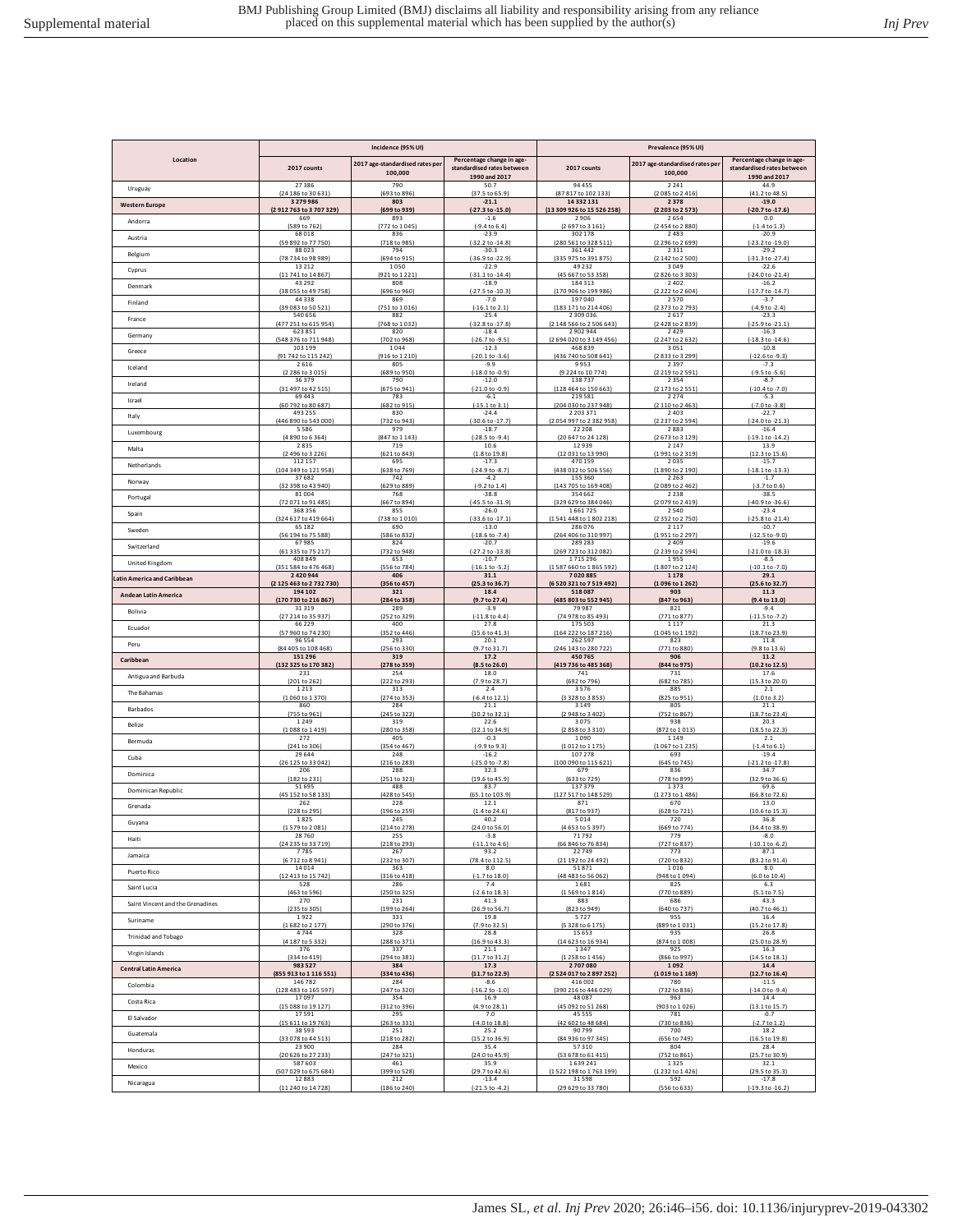|                                  | Incidence (95% UI)              |                                           |                                                                          | Prevalence (95% UI)                                         |                                            |                                                                          |  |
|----------------------------------|---------------------------------|-------------------------------------------|--------------------------------------------------------------------------|-------------------------------------------------------------|--------------------------------------------|--------------------------------------------------------------------------|--|
| Location                         | 2017 counts                     | 2017 age-standardised rates pe<br>100,000 | Percentage change in age-<br>standardised rates between<br>1990 and 2017 | 2017 counts                                                 | 2017 age-standardised rates per<br>100,000 | Percentage change in age-<br>standardised rates between<br>1990 and 2017 |  |
| Uruguay                          | 27386                           | 790                                       | 50.7                                                                     | 94 455                                                      | 2241                                       | 44.9                                                                     |  |
|                                  | (24 186 to 30 631)              | (693 to 896)                              | (37.5 to 65.9)                                                           | (87 817 to 102 133)                                         | (2085 to 2416)                             | (41.2 to 48.5)                                                           |  |
| <b>Western Europe</b>            | 3 2 7 9 9 8 6                   | 803                                       | $-21.1$                                                                  | 14 332 131                                                  | 2378                                       | $-19.0$                                                                  |  |
|                                  | (2912763 to 3707329)            | (699 to 939                               | $(-27.3 \text{ to } -15.0)$                                              | (13 309 926 to 15 526 258)                                  | (2 203 to 2 573)                           | (-20.7 to -17.6)                                                         |  |
| Andorra                          | 669                             | 893                                       | $-1.6$                                                                   | 2906                                                        | 2654                                       | 0.0                                                                      |  |
|                                  | (589 to 762                     | 772 to 1045                               | $(-9.4 \text{ to } 6.4)$                                                 | (2697 to 3161                                               | (2454 to 2880)                             | $(-1.4 to 1.3)$                                                          |  |
| Austria                          | 68018<br>(59 892 to 77 750)     | 836<br>(718 to 985)                       | $-23.9$<br>$(-32.2 \text{ to } -14.8)$                                   | 302 178<br>(280<br>561 to 328                               | 2483<br>(2 296 to 2 699)                   | $-20.9$<br>$(-23.2$ to $-19.0)$                                          |  |
| Belgium                          | 88023                           | 794                                       | $-30.3$                                                                  | 361 442                                                     | 2311                                       | $-29.2$                                                                  |  |
|                                  | (78 734 to 98 989)              | (694 to 915)                              | $(-36.9 to -22.9)$                                                       | (335 975 to 391 875)                                        | (2 142 to 2 500)                           | $(-31.3$ to $-27.4]$                                                     |  |
| Cyprus                           | 13212                           | 1050                                      | $-22.9$                                                                  | 49 2 3 2                                                    | 3049                                       | $-22.6$                                                                  |  |
|                                  | (11 741 to 14 867               | (921 to 1 221)                            | $(-31.1$ to $-14.4)$                                                     | (45 667 to 53 358)                                          | (2826 to 3303)                             | $(-24.0 \text{ to } -21.4)$                                              |  |
| Denmark                          | 43292                           | 808                                       | $-18.9$                                                                  | 184313                                                      | 2402                                       | $-16.2$                                                                  |  |
|                                  | (38 055 to 49 758)              | (696 to 960)                              | (-27.5 to -10.3)                                                         | (170 906 to 199 986)                                        | (2 2 2 2 to 2 6 0 4)                       | $(-17.7$ to $-14.7)$                                                     |  |
| Finland                          | 44338<br>(39 083 to 50 521)     | 869                                       | $-7.0$<br>$[-16.1 \text{ to } 2.1]$                                      | 197040<br>(183 171 to 214 406                               | 2570<br>(2373 to 2793)                     | $-3.7$<br>(-4.9 to -2.4)                                                 |  |
| France                           | 540 656<br>(477 251 to 615 954) | (751 to 1016)<br>882<br>(768 to 1032)     | $-25.4$<br>(-32.8 to -17.8)                                              | 2 3 0 9 0 3 6                                               | 2617<br>(2428 to 2839)                     | $-23.3$                                                                  |  |
| Germany                          | 623851<br>(548 376 to 711 948)  | 820                                       | $-18.4$                                                                  | (2 148 566 to 2 506 643)<br>2902944                         | 2429                                       | $(-25.9 to -21.1)$<br>$-16.3$                                            |  |
| Greece                           | 103 199                         | (702 to 968)<br>1044                      | $(-26.7 to -9.5)$<br>$-12.3$                                             | (2 694 020 to 3 149 456)<br>468 839<br>(436 740 to 508 641) | (2247 to 2632)<br>3051                     | $(-18.3 to -14.6)$<br>$-10.8$<br>$(-12.6 to -9.3)$                       |  |
| Iceland                          | (91 742 to 115 242)<br>2616     | (916 to 1 210)<br>805<br>(689 to 950)     | $(-20.1 to -3.6)$<br>$-9.9$                                              | 9953                                                        | (2833 to 3299)<br>2397                     | $-7.3$                                                                   |  |
| Ireland                          | (2 286 to 3 015)<br>36379       | 790                                       | $(-18.0 to -0.9)$<br>$-12.0$                                             | (9224 to 10774)<br>138737                                   | (2219 to 2591)<br>2354                     | $(-9.5 to -5.6)$<br>$-8.7$                                               |  |
| Israel                           | (31 497 to 42 515)              | (675 to 941)                              | $(-21.0 to -0.9)$                                                        | (128 464 to 150 663)                                        | (2173 to 2551)                             | $(-10.4 to -7.0)$                                                        |  |
|                                  | 69443                           | 783                                       | $-6.1$                                                                   | 219581                                                      | 2274                                       | $-5.3$                                                                   |  |
| Italy                            | (60 792 to 80 687)              | (682 to 915)                              | $(-15.1 to 3.1)$                                                         | (204 030 to 237 948)                                        | (2 110 to 2 463)                           | $(-7.0 to -3.8)$                                                         |  |
|                                  | 493 255                         | 830                                       | $-24.4$                                                                  | 2 2 0 3 3 7 1                                               | 2403                                       | $-22.7$                                                                  |  |
| Luxembourg                       | (446 890 to 543 000)            | (732 to 943)                              | -30.6 to -17.7                                                           | (2054 997 to 2382 958)                                      | (2237 to 2594)                             | $(-24.0 to -21.3)$                                                       |  |
|                                  | 5586                            | 979                                       | $-18.7$                                                                  | 22 208                                                      | 2883                                       | $-16.4$                                                                  |  |
| Malta                            | (4 890 to 6 364                 | (847 to 1 143)                            | (-28.5 to -9.4)                                                          | (20 647 to 24 128)                                          | (2673 to 3129)                             | (-19.1 to -14.2)                                                         |  |
|                                  | 2835                            | 719                                       | 10.6                                                                     | 12939                                                       | 2147                                       | 13.9                                                                     |  |
| Netherlands                      | (2 496 to 3 226)                | (621 to 843)                              | (1.8 to 19.8)                                                            | (12 031 to 13 990)                                          | (1991 to 2319)                             | $(12.3 \text{ to } 15.6)$                                                |  |
|                                  | 112 157                         | 695                                       | $-17.3$                                                                  | 470 159                                                     | 2035                                       | $-15.7$                                                                  |  |
| Norway                           | (104 349 to 121 958)            | (638 to 769)                              | -24.9 to -8.7                                                            | (438 032 to 506 556)                                        | (1890 to 2 190)                            | $(-18.1 \text{ to } -13.3)$                                              |  |
|                                  | 37682                           | 742                                       | $-4.2$                                                                   | 155 360                                                     | 2 2 6 3                                    | $-1.7$                                                                   |  |
| Portugal                         | (32 398 to 43 940)              | (629 to 889)                              | (-9.2 to 1.4)                                                            | (143 705 to 169 408)                                        | (2089 to 2462)                             | $(-3.7 to 0.6)$                                                          |  |
|                                  | 81004                           | 768                                       | $-38.8$                                                                  | 354 662                                                     | 2 2 3 8                                    | $-38.5$                                                                  |  |
| Spain                            | (72.071 to 91.485)              | (667 to 894                               | (-45.5 to -31.9)                                                         | (329 629 to 384 046)                                        | (2079 to 2419)                             | $(40.9 \text{ to } -36.6)$                                               |  |
|                                  | 368356                          | 855                                       | $-26.0$                                                                  | 1661725                                                     | 2540                                       | $-23.4$                                                                  |  |
| Sweden                           | (324 617 to 419 664)            | (738 to 1010)                             | (-33.6 to -17.1)                                                         | (1541 448 to 1802 218)                                      | (2352 to 2750)                             | $(-25.8$ to $-21.4)$                                                     |  |
|                                  | 65 182                          | 690                                       | $-13.0$                                                                  | 286 076                                                     | 2 1 1 7                                    | $-10.7$                                                                  |  |
| Switzerland                      | (56 194 to 75 588)              | (586 to 832)                              | $(-18.6 \text{ to } -7.4)$                                               | (264 406 to 310 997)                                        | (1951 to 2297)                             | $(-12.5 to -9.0)$                                                        |  |
|                                  | 67985                           | 824                                       | $-20.7$                                                                  | 289 283                                                     | 2409                                       | $-19.6$                                                                  |  |
|                                  | (61 335 to 75 217)              | (732 to 948)                              | $(-27.2 \text{ to } -13.8)$                                              | (269 723 to 312 082)                                        | (2 239 to 2 594)                           | $(-21.0 to -18.3)$                                                       |  |
|                                  | 408 849                         | 653                                       | $-10.7$                                                                  | 1715296                                                     | 1955                                       | $-8.5$                                                                   |  |
| United Kingdom                   | (351 584 to 476 468)            | (556 to 784)                              | $(-16.1 to -5.2)$                                                        | (1587 660 to 1865 592)                                      | (1807 to 2124)                             | $(-10.1 to -7.0)$                                                        |  |
|                                  | 2420944                         | 406                                       | 31.1                                                                     | 7020885                                                     | 1178                                       | 29.1                                                                     |  |
| atin America and Caribbean       | (2125 463 to 2732 730)          | (356 to 457)                              | (25.3 to 36.7)                                                           | (6 520 321 to 7 519 492)                                    | (1096 to 1262)                             | (25.6 to 32.7)                                                           |  |
|                                  | 194 102                         | 321                                       | 18.4                                                                     | 518087                                                      | 903                                        | 11.3                                                                     |  |
| Andean Latin America             | (170 730 to 216 867)            | (284 to 358)                              | (9.7 to 27.4)                                                            | (485 803 to 552 945)                                        | (847 to 963)                               | (9.4 to 13.0)                                                            |  |
|                                  | 31319                           | 289                                       | $-3.9$                                                                   | 79987                                                       | 821                                        | $-9.4$                                                                   |  |
| Bolivia                          | (27 214 to 35 937)              | (252 to 329)                              | $(-11.8 to 4.4)$                                                         | (74 978 to 85 493)                                          | (771 to 877                                | $(-11.5 to -7.2)$                                                        |  |
|                                  | 66229                           | 400                                       | 27.8                                                                     | 175 503                                                     | 1117                                       | 21.3                                                                     |  |
| Ecuador                          | (57 960 to 74 230)              | (352 to 446)                              | (15.6 to 41.3)                                                           | (164 222 to 187 216)                                        | (1045 to 1192)                             | (18.7 to 23.9)                                                           |  |
|                                  | 96554                           | 293                                       | 20.1                                                                     | 262 597                                                     | 823                                        | 11.8                                                                     |  |
| Peru                             | (84 405 to 108 468)             | (256 to 330)                              | (9.7 to 31.7)                                                            | (246 143 to 280 722)                                        | (771 to 880)                               | (9.8 to 13.6)                                                            |  |
|                                  | 151 296                         | 319                                       | 17.2                                                                     | 450765                                                      | 906                                        | 11.2                                                                     |  |
| Caribbean                        | (132 325 to 170 382)            | (278 to 359)                              | (8.5 to 26.0)                                                            | (419 736 to 485 368)                                        | (844 to 975)                               | (10.2 to 12.5)                                                           |  |
|                                  | 231                             | 254                                       | 18.0                                                                     | 741                                                         | 731                                        | 17.6                                                                     |  |
| Antigua and Barbuda              | (201 to 262)                    | (222 to 293)                              | (7.9 to 28.7)                                                            | (692 to 796)                                                | (682 to 785                                | (15.3 to 20.0)                                                           |  |
|                                  | 1 2 1 3                         | 313                                       | 2.4                                                                      | 3576                                                        | 885                                        | 2.1                                                                      |  |
| The Bahamas                      | (1060 to 1370)                  | (274 to 353)                              | $(-6.4 \text{ to } 12.1)$                                                | (3 328 to 3 853)                                            | (825 to 951)                               | (1.0 to 3.2)                                                             |  |
|                                  | 860                             | 284                                       | 21.1                                                                     | 3 1 4 9                                                     | 805                                        | 21.1                                                                     |  |
| Barbados                         | (755 to 961)                    | (245 to 322)                              | (10.2 to 32.1)                                                           | (2 948 to 3 402)                                            | (752 to 867                                | (18.7 to 23.4)                                                           |  |
|                                  | 1249                            | 319                                       | 22.6                                                                     | 3075                                                        | 938                                        | 20.3                                                                     |  |
| Belize                           | (1088 to 1419)                  | (280 to 358)                              | (12.1 to 34.9)                                                           | (2858 to 3310)                                              | (872 to 1013                               | (18.5 to 22.3)                                                           |  |
|                                  | 272                             | 405                                       | $-0.3$                                                                   | 1090                                                        | 1149                                       | 2.1                                                                      |  |
| Bermuda                          | (241 to 306                     | (354 to 467                               | $(-9.9 to 9.3)$                                                          | 1012 to 1175                                                | (1067 to 1235)                             | $-1.4$ to $6.1$                                                          |  |
|                                  | 29644                           | 248                                       | $-16.2$                                                                  | 107 278                                                     | 693                                        | $-19.4$                                                                  |  |
| Cuba                             | (26 125 to 33 042)              | (216 to 283)                              | $(-25.0 to -7.8)$                                                        | (100 090 to 115 621)                                        | (645 to 745                                | $(-21.2$ to $-17.8)$                                                     |  |
| Dominica                         | 206                             | 288                                       | 32.3                                                                     | 679                                                         | 836                                        | 34.7                                                                     |  |
|                                  | (182 to 231)                    | (251 to 323)                              | $(19.6 \text{ to } 45.9)$                                                | (633 to 729)                                                | (778 to 899)                               | (32.9 to 36.6)                                                           |  |
| Dominican Republic               | 51695                           | 488                                       | 83.7                                                                     | 137379                                                      | 1373                                       | 69.6                                                                     |  |
|                                  | (45 152 to 58 133)              | (428 to 545)                              | (65.1 to 103.9)                                                          | (127 517 to 148 529)                                        | (1273 to 1486)                             | (66.8 to 72.6)                                                           |  |
| Grenada                          | 262                             | 228                                       | 12.1                                                                     | 871                                                         | 670                                        | 13.0                                                                     |  |
|                                  | (228 to 295                     | (196 to 259)                              | (1.4 to 24.6)                                                            | (817 to 937)                                                | (628 to 721                                | (10.6 to 15.3)                                                           |  |
| Guyana                           | 1825                            | 245                                       | 40.2                                                                     | 5014                                                        | 720                                        | 36.8                                                                     |  |
|                                  | (1579 to 2081)                  | (214 to 278)                              | (24.0 to 56.0)                                                           | (4653 to 5397)                                              | (669 to 774)                               | (34.4 to 38.9)                                                           |  |
| Haiti                            | 28760                           | 255                                       | $-3.8$                                                                   | 71792                                                       | 779                                        | $-8.0$                                                                   |  |
|                                  | (24 235 to 33 719)              | (218 to 293)                              | $(-11.1 \text{ to } 4.6)$                                                | (66 846 to 76 834)                                          | (727 to 837)                               | $(-10.1 to -6.2)$                                                        |  |
| Jamaica                          | 7785                            | 267                                       | 93.2                                                                     | 22749                                                       | 773                                        | 87.1                                                                     |  |
|                                  | (6712 to 8941)                  | (232 to 307)                              | (78.4 to 112.5)                                                          | (21 192 to 24 492)                                          | (720 to 832)                               | (83.2 to 91.4)                                                           |  |
| Puerto Rico                      | 14014                           | 363                                       | 8.0                                                                      | 51871                                                       | 1016                                       | 8.0                                                                      |  |
|                                  | (12 413 to 15 742)              | (316 to 418)                              | $(-1.7)$ to $18.0$                                                       | (48 483 to 56 062)                                          | (948 to 1094)                              | (6.0 to 10.4)                                                            |  |
| Saint Lucia                      | 528                             | 286                                       | 7.4                                                                      | 1681                                                        | 825                                        | 6.3                                                                      |  |
|                                  | (463 to 596)                    | (250 to 325)                              | $(-2.6 \text{ to } 18.3)$                                                | (1569 to 1814)                                              | (770 to 889)                               | (5.1 to 7.5)                                                             |  |
| Saint Vincent and the Grenadines | 270                             | 231                                       | 41.3                                                                     | 883                                                         | 686                                        | 43.3                                                                     |  |
|                                  | (235 to 305)                    | (199 to 264)                              | (26.9 to 56.7)                                                           | (823 to 949)                                                | (640 to 737)                               | (40.7 to 46.1)                                                           |  |
| Suriname                         | 1922                            | 331                                       | 19.8                                                                     | 5727                                                        | 955                                        | 16.4                                                                     |  |
|                                  | (1682 to 2177)                  | (290 to 376)                              | (7.9 to 32.5)                                                            | (5 328 to 6 175)                                            | (889 to 1031)                              | (15.2 to 17.8)                                                           |  |
| <b>Trinidad and Tobago</b>       | 4744                            | 328                                       | 28.8                                                                     | 15653                                                       | 935                                        | 26.8                                                                     |  |
|                                  | (4 187 to 5 332)                | (288 to 371)                              | (16.9 to 43.3)                                                           | (14 623 to 16 934)                                          | (874 to 1008)                              | (25.0 to 28.9)                                                           |  |
| Virgin Islands                   | 376                             | 337                                       | 21.1                                                                     | 1347                                                        | 925                                        | 16.3                                                                     |  |
|                                  | (334 to 419)                    | (294 to 381)                              | (11.7 to 31.2)                                                           | (1 258 to 1 456)                                            | (866 to 997)                               | (14.5 to 18.1)                                                           |  |
| <b>Central Latin America</b>     | 983 527                         | 384                                       | 17.3                                                                     | 2707080                                                     | 1092                                       | 14.4                                                                     |  |
|                                  | (855 913 to 1 116 551)          | (334 to 436)                              | (11.7 to 22.9)                                                           | (2 524 017 to 2 897 252)                                    | (1019 to 1169)                             | (12.7 to 16.4)                                                           |  |
| Colombia                         | 146782                          | 284                                       | $-8.6$                                                                   | 416 002                                                     | 780                                        | $-11.5$                                                                  |  |
|                                  | (128 483 to 165 597)            | (247 to 320)                              | $(-16.2 \text{ to } -1.0)$                                               | (390 216 to 446 029)                                        | (732 to 836)                               | $(-14.0 to -9.4)$                                                        |  |
| Costa Rica                       | 17097                           | 354                                       | 16.9                                                                     | 48 087                                                      | 963                                        | 14.4                                                                     |  |
|                                  | (15 088 to 19 127)              | (312 to 396)                              | (4.9 to 28.1)                                                            | (45 092 to 51 268)                                          | (903 to 1026)                              | (13.1 to 15.7)                                                           |  |
| El Salvador                      | 17591                           | 295                                       | 7.0                                                                      | 45 5 5 5                                                    | 781                                        | $-0.7$                                                                   |  |
|                                  | (15 611 to 19 763)              | (263 to 331)                              | $(-4.0 to 18.8)$                                                         | (42 602 to 48 684)                                          | (730 to 836)                               | $(-2.7 to 1.2)$                                                          |  |
| Guatemala                        | 38593                           | 251                                       | 25.2                                                                     | 90799                                                       | 700                                        | 18.2                                                                     |  |
|                                  | (33 078 to 44 513)              | (218 to 282)                              | (15.2 to 36.9)                                                           | (84 936 to 97 345)                                          | (656 to 749)                               | (16.5 to 19.8)                                                           |  |
| Honduras                         | 23900                           | 284                                       | 35.4                                                                     | 57310                                                       | 804                                        | 28.4                                                                     |  |
| Mexico                           | (20 626 to 27 233)              | (247 to 321)                              | (24.0 to 45.9)                                                           | (53 678 to 61 415)                                          | (752 to 861)                               | (25.7 to 30.9)                                                           |  |
|                                  | 587 603                         | 461                                       | 35.9                                                                     | 1639241                                                     | 1325                                       | 32.1                                                                     |  |
| Nicaragua                        | (507 029 to 675 684)            | (399 to 528)                              | (29.7 to 42.6)                                                           | (1522 198 to 1763 199)                                      | (1232 to 1426)                             | (29.5 to 35.3)                                                           |  |
|                                  | 12883                           | 212                                       | $-13.4$                                                                  | 31598                                                       | 592                                        | $-17.8$                                                                  |  |
|                                  | (11 240 to 14 728)              | (186 to 240)                              | $(-21.5 \text{ to } -4.2)$                                               | (29 629 to 33 780)                                          | (556 to 633)                               | $(-19.3 to -16.2)$                                                       |  |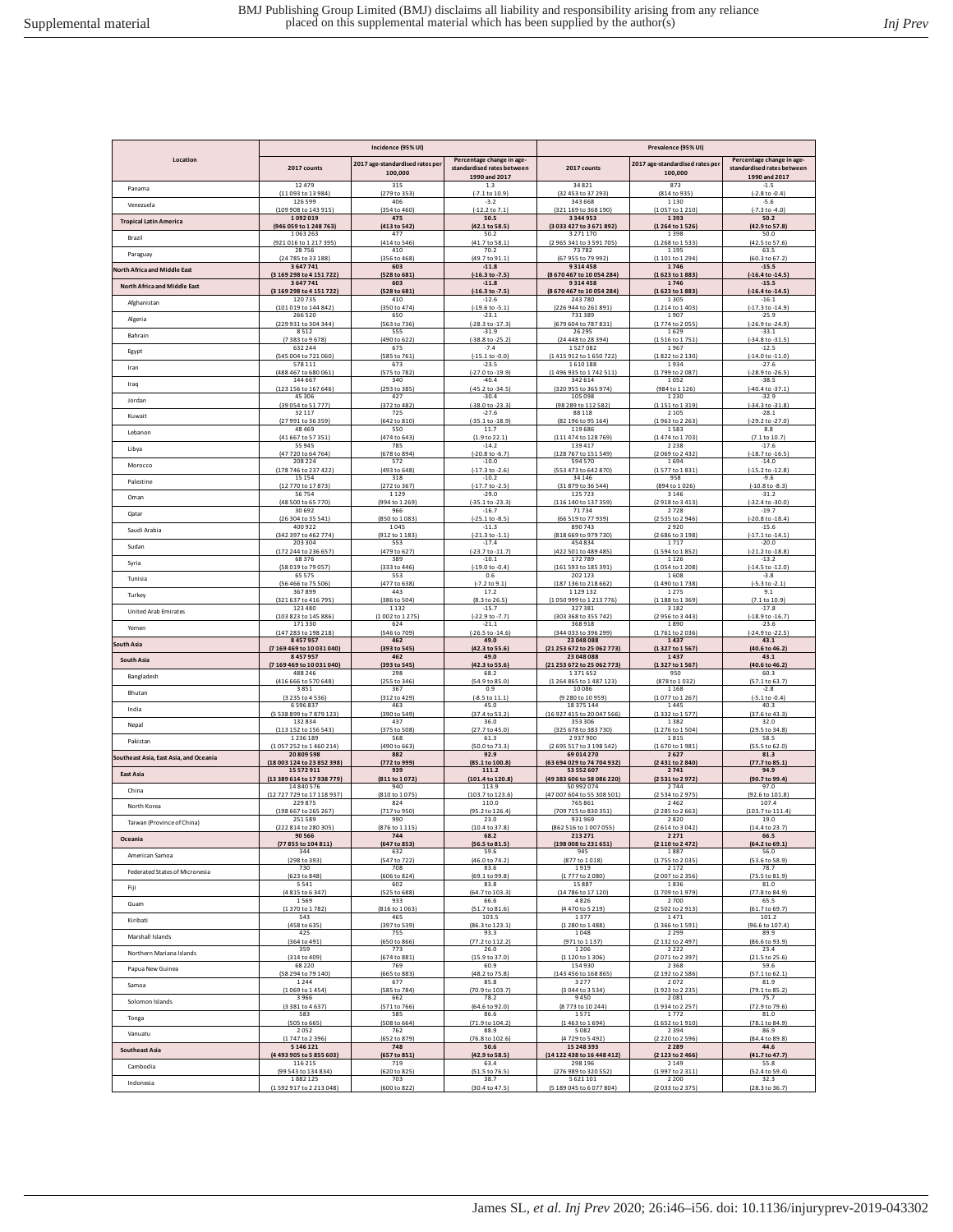|                                        |                                   | Incidence (95% UI)                         |                                                                          |                                   | Prevalence (95% UI)                        |                                                                          |  |  |
|----------------------------------------|-----------------------------------|--------------------------------------------|--------------------------------------------------------------------------|-----------------------------------|--------------------------------------------|--------------------------------------------------------------------------|--|--|
| Location                               | 2017 counts                       | 2017 age-standardised rates per<br>100,000 | Percentage change in age-<br>standardised rates between<br>1990 and 2017 | 2017 counts                       | 2017 age-standardised rates per<br>100,000 | Percentage change in age-<br>standardised rates between<br>1990 and 2017 |  |  |
| Panama                                 | 12479                             | 315                                        | 1.3                                                                      | 34821                             | 873                                        | $-1.5$                                                                   |  |  |
|                                        | (11 093 to 13 984)                | (279 to 353)                               | (-7.1 to 10.9)                                                           | (32 453 to 37 293)                | (814 to 935)                               | $(-2.8 to -0.4)$                                                         |  |  |
| Venezuela                              | 126 599                           | 406                                        | $-3.2$                                                                   | 343 668                           | 1130                                       | $-5.6$                                                                   |  |  |
|                                        | (109 908 to 143 915)              | (354 to 460)                               | (-12.2 to 7.1)                                                           | (321 169 to 368 190)              | (1057 to 1210)                             | $(-7.3 to -4.0)$                                                         |  |  |
| <b>Tropical Latin America</b>          | 1092019                           | 475                                        | 50.5<br>(42.1 to 58.5)                                                   | 3344953<br>(3033 427 to 3671 892) | 1393                                       | 50.2                                                                     |  |  |
| Brazil                                 | (946 059 to 1 248 763)<br>1063263 | (413 to 542)<br>477                        | 50.2                                                                     | 3 2 7 1 1 7 0                     | (1264 to 1526)<br>1398                     | (42.9 to 57.8)<br>50.0                                                   |  |  |
| Paraguay                               | (921 016 to 1 217 395)            | (414 to 546)                               | (41.7 to 58.1)                                                           | (2965 341 to 3591 705)            | (1268 to 1533)                             | (42.5 to 57.6)                                                           |  |  |
|                                        | 28756                             | 410                                        | 70.2                                                                     | 73782                             | 1195                                       | 63.5                                                                     |  |  |
| <b>Jorth Africa and Middle East</b>    | (24 785 to 33 188)                | (356 to 468)                               | (49.7 to 91.1)                                                           | (67 955 to 79 992)                | (1101 to 1294)                             | (60.3 to 67.2)                                                           |  |  |
|                                        | 3647741                           | 603                                        | $-11.8$                                                                  | 9314458                           | 1746                                       | $-15.5$                                                                  |  |  |
| <b>North Africa and Middle East</b>    | (3 169 298 to 4 151 722)          | (528 to 681)                               | $(-16.3 to -7.5)$                                                        | (8670467 to 10054284)             | (1623 to 1883)                             | (-16.4 to -14.5)                                                         |  |  |
|                                        | 3647741                           | 603                                        | $-11.8$                                                                  | 9314458                           | 1746                                       | $-15.5$                                                                  |  |  |
| Afghanistan                            | (3169298 to 4151722)              | (528 to 681)                               | $(-16.3 to -7.5)$                                                        | (8670467 to 10054284)             | (1623 to 1883)                             | (-16.4 to -14.5)                                                         |  |  |
|                                        | 120735                            | 410                                        | $-12.6$                                                                  | 243780                            | 1305                                       | $-16.1$                                                                  |  |  |
|                                        | (101 019 to 144 842)              | (350 to 474)                               | $(-19.6 \text{ to } -5.1)$                                               | (226 944 to 261 891)              | (1214 to 1403)                             | $(-17.3 to -14.9)$                                                       |  |  |
|                                        | 266 520                           | 650                                        | $-23.1$                                                                  | 731389                            | 1907                                       | $-25.9$                                                                  |  |  |
| Algeria                                | (229 931 to 304 344)              | (563 to 736)                               | $(-28.3$ to $-17.3)$                                                     | (679 604 to 787 831)              | (1774 to 2055)                             | $(-26.9 to -24.9)$                                                       |  |  |
|                                        | 8512                              | 555                                        | $-31.9$                                                                  | 26 29 5                           | 1629                                       | $-33.1$                                                                  |  |  |
| Bahrain                                | (7383 to 9678)                    | (490 to 622)                               | (-38.8 to -25.2)                                                         | (24 448 to 28 394)                | (1516 to 1751)                             | $(-34.8$ to $-31.5)$                                                     |  |  |
|                                        | 632 244                           | 675                                        | $-7.4$                                                                   | 1527082                           | 1967                                       | $-12.5$                                                                  |  |  |
| Egypt                                  | (545 004 to 721 060)              | (585 to 761)                               | $(-15.1 to -0.0)$                                                        | (1415 912 to 1650 722             | (1822 to 2 130)                            | $(-14.0 to -11.0)$                                                       |  |  |
| Iran                                   | 578 111                           | 673                                        | $-23.5$                                                                  | 1610188                           | 1934                                       | $-27.6$                                                                  |  |  |
|                                        | (488 467 to 680 061)              | (575 to 782                                | (-27.0 to -19.9)                                                         | (1496 935 to 1742                 | (1799 to 2087                              | $(-28.9 to -26.5)$                                                       |  |  |
| Iraq                                   | 144 667                           | 340                                        | $-40.4$                                                                  | 342 614                           | 1052                                       | $-38.5$                                                                  |  |  |
|                                        | (123 156 to 167 646)              | (293 to 385)                               | (-45.2 to -34.5)                                                         | (320 955 to 365 974)              | (984 to 1 126)                             | $(-40.4 to -37.1)$                                                       |  |  |
| Jordan                                 | 45306                             | 427                                        | $-30.4$                                                                  | 105 098                           | 1230                                       | $-32.9$                                                                  |  |  |
|                                        | (39 054 to 51 777)                | (372 to 482)                               | $(-38.0 to -23.3)$                                                       | (98 289 to 112 582)               | (1151 to 1319)                             | (-34.3 to -31.8)                                                         |  |  |
| Kuwait                                 | 32117                             | 725                                        | $-27.6$                                                                  | 88 118                            | 2105                                       | $-28.1$                                                                  |  |  |
|                                        | (27 991 to 36 359)                | (642 to 810)                               | $(-35.1 to -18.9)$                                                       | (82 196 to 95 164)                | (1963 to 2263)                             | (-29.2 to -27.0)                                                         |  |  |
| Lebanon                                | 48469                             | 550                                        | 11.7                                                                     | 119686                            | 1583                                       | 8.8                                                                      |  |  |
|                                        | (41 667 to 57 351                 | (474 to 643)                               | (1.9 to 22.1)                                                            | (111 474 to 128 769               | (1474 to 1703                              | (7.1 to 10.7)                                                            |  |  |
| Libya                                  | 55945                             | 785                                        | $-14.2$                                                                  | 139 417                           | 2238                                       | $-17.6$                                                                  |  |  |
|                                        | (47 720 to 64 764)                | (678 to 894)                               | (-20.8 to -6.7)                                                          | (128 767 to 151 549)              | (2069 to 2432)                             | (-18.7 to -16.5)                                                         |  |  |
| Morocco                                | 208 224<br>(178 746 to 237 422)   | 572                                        | $-10.0$                                                                  | 594 570<br>(553 473 to 642 870    | 1694<br>(1577 to 1831)                     | $-14.0$                                                                  |  |  |
| Palestine                              | 15154                             | (493 to 648)<br>318                        | $(-17.3 to -2.6)$<br>$-10.2$                                             | 34 146                            | 958                                        | $(-15.2 to -12.8)$<br>$-9.6$                                             |  |  |
| Oman                                   | (12 770 to 17 873)                | (272 to 367)                               | $(-17.7 to -2.5)$                                                        | (31 879 to 36 544)                | (894 to 1026)                              | $(-10.8 to -8.3)$                                                        |  |  |
|                                        | 56754                             | 1129                                       | $-29.0$                                                                  | 125723                            | 3146                                       | $-31.2$                                                                  |  |  |
| Qatar                                  | (48 500 to 65 770)                | (994 to 1 269)                             | $(-35.1$ to $-23.3)$                                                     | (116 140 to 137 359)              | (2918 to 3413)                             | (-32.4 to -30.0)                                                         |  |  |
|                                        | 30692                             | 966                                        | $-16.7$                                                                  | 71734                             | 2728                                       | $-19.7$                                                                  |  |  |
| Saudi Arabia                           | (26 304 to 35 541)                | (850 to 1083)                              | $(-25.1$ to $-8.5)$                                                      | (66 519 to 77 939)                | (2535 to 2946)                             | (-20.8 to -18.4)                                                         |  |  |
|                                        | 400 922                           | 1045                                       | $-11.3$                                                                  | 890743                            | 2920                                       | $-15.6$                                                                  |  |  |
|                                        | (342 397 to 462 774)              | (912 to 1 183)                             | $(-21.3 \text{ to } -1.1)$                                               | (818 669 to 979 730)              | (2686 to 3198)                             | $(-17.1 \text{ to } -14.1)$                                              |  |  |
|                                        | 203 304                           | 553                                        | $-17.4$                                                                  | 454 834                           | 1717                                       | $-20.0$                                                                  |  |  |
| Sudan                                  | (172 244 to 236 657)              | (479 to 627)                               | (-23.7 to -11.7)                                                         | (422 501 to 489 485)              | (1594 to 1852)                             | (-21.2 to -18.8)                                                         |  |  |
|                                        | 68376                             | 389                                        | $-10.1$                                                                  | 172789                            | 1126                                       | $-13.2$                                                                  |  |  |
| Syria                                  | (58 019 to 79 057)                | (333 to 446)                               | $(-19.0 \text{ to } -0.4)$                                               | (161 593 to 185 391)              | (1054 to 1208)                             | (-14.5 to -12.0)                                                         |  |  |
|                                        | 65575                             | 553                                        | 0.6                                                                      | 202 123                           | 1608                                       | $-3.8$                                                                   |  |  |
| Tunisia                                | (56 466 to 75 506)                | (477 to 638)                               | $(-7.2 \text{ to } 9.1)$                                                 | (187 136 to 218 662               | (1490 to 1738)                             | $(-5.3 to -2.1)$                                                         |  |  |
| Turkey                                 | 367899                            | 443                                        | 17.2                                                                     | 1129132                           | 1275                                       | 9.1                                                                      |  |  |
|                                        | (321 637 to 416 795)              | (386 to 504                                | (8.3 to 26.5)                                                            | (1050 999 to 1213 776)            | (1188 to 1369)                             | (7.1 to 10.9)                                                            |  |  |
| United Arab Emirates                   | 123 480                           | 1 1 3 2                                    | $-15.7$                                                                  | 327381                            | 3182                                       | $-17.8$                                                                  |  |  |
|                                        | (103 823 to 145 886)              | (1002 to 1275)                             | $(-22.9 \text{ to } -7.7)$                                               | (303 368 to 355 742)              | (2956 to 3443)                             | (-18.9 to -16.7)                                                         |  |  |
| Yemen                                  | 171330                            | 624                                        | $-21.1$                                                                  | 368918                            | 1890                                       | $-23.6$                                                                  |  |  |
|                                        | (147 283 to 198 218)              | (546 to 709                                | $(-26.5 \text{ to } -14.6)$                                              | (344 033 to 396 299               | (1761 to 2036)                             | (-24.9 to -22.5)                                                         |  |  |
| iouth Asia                             | 8457957                           | 462                                        | 49.0                                                                     | 23 048 088                        | 1437                                       | 43.1                                                                     |  |  |
|                                        | (7 169 469 to 10 031 040)         | (393 to 545)                               | (42.3 to 55.6)                                                           | (21 253 672 to 25 062 773)        | (1327 to 1567)                             | (40.6 to 46.2)                                                           |  |  |
| South Asia                             | 8457957                           | 462                                        | 49.0                                                                     | 23 048 088                        | 1437                                       | 43.1                                                                     |  |  |
|                                        | (7 169 469 to 10 031 040)         | (393 to 545)                               | (42.3 to 55.6)                                                           | (21 253 672 to 25 062 773)        | (1327 to 1567)                             | (40.6 to 46.2)                                                           |  |  |
| Bangladesh                             | 488 246                           | 298                                        | 68.2                                                                     | 1371652                           | 950                                        | 60.3                                                                     |  |  |
|                                        | (416 666 to 570 648)              | (255 to 346)                               | (54.9 to 85.0)                                                           | (1 264 865 to 1 487 123)          | (878 to 1032)                              | (57.1 to 63.7)                                                           |  |  |
| Bhutan                                 | 3851                              | 367                                        | 0.9                                                                      | 10086                             | 1168                                       | $-2.8$                                                                   |  |  |
| India                                  | (3 235 to 4 536)                  | (312 to 429)                               | $(-8.5 \text{ to } 11.1)$                                                | (9 280 to 10 959)                 | (1077 to 1267)                             | $(-5.1 to -0.4)$                                                         |  |  |
|                                        | 6596837                           | 463                                        | 45.0                                                                     | 18 375 144                        | 1445                                       | 40.3                                                                     |  |  |
| Nepal                                  | (5 5 3 8 8 9 9 to 7 8 7 9 1 2 3)  | (390 to 549)                               | (37.4 to 53.2)                                                           | (16 927 415 to 20 047 566)        | (1332 to 1577)                             | (37.6 to 43.3)                                                           |  |  |
|                                        | 132834                            | 437                                        | 36.0                                                                     | 353 306                           | 1382                                       | 32.0                                                                     |  |  |
| Pakistan                               | (113 152 to 156 543)              | (375 to 508)                               | (27.7 to 45.0)                                                           | (325 678 to 383 730)              | (1276 to 1504)                             | (29.5 to 34.8)                                                           |  |  |
|                                        | 1 236 189                         | 568                                        | 61.3                                                                     | 2937900                           | 1815                                       | 58.5                                                                     |  |  |
| Southeast Asia, East Asia, and Oceania | (1057252 to 1460214)              | (490 to 663)                               | (50.0 to 73.3)                                                           | (2695 517 to 3198 542)            | (1670 to 1981)                             | (55.5 to 62.0)                                                           |  |  |
|                                        | 20809598                          | 882                                        | 92.9                                                                     | 69 014 270                        | 2627                                       | 81.3                                                                     |  |  |
|                                        | (18 003 124 to 23 852 398)        | (772 to 999)                               | (85.1 to 100.8)                                                          | (63 694 029 to 74 704 932)        | (2431 to 2840)                             | (77.7 to 85.1)                                                           |  |  |
|                                        | 15572911                          | 939                                        | 111.2                                                                    | 53 552 607                        | 2741                                       | 94.9                                                                     |  |  |
| <b>East Asia</b>                       | (13 389 614 to 17 938 779)        | (811 to 1072)                              | (101.4 to 120.8)                                                         | (49 383 606 to 58 086 220)        | (2531 to 2972)                             | (90.7 to 99.4)                                                           |  |  |
|                                        | 14840576                          | 940                                        | 113.9                                                                    | 50 992 074                        | 2744                                       | 97.0                                                                     |  |  |
| China                                  | (12727729 to 17118937)            | (810 to 1075)                              | (103.7 to 123.6)                                                         | (47 007 604 to 55 308 501)        | (2534 to 2975)                             | (92.6 to 101.8)                                                          |  |  |
|                                        | 229 875                           | 824                                        | 110.0                                                                    | 765 861                           | 2462                                       | 107.4                                                                    |  |  |
| North Korea                            | (198 667 to 265 267)              | (717 to 950)                               | (95.2 to 126.4)                                                          | (709 715 to 830 351)              | (2 285 to 2 663)                           | (103.7 to 111.4)                                                         |  |  |
|                                        | 251589                            | 990                                        | 23.0                                                                     | 931969                            | 2820                                       | 19.0                                                                     |  |  |
| Taiwan (Province of China)             | (222 814 to 280 305)              | (876 to 1 115)                             | (10.4 to 37.8)                                                           | (862 516 to 1007 055              | (2614 to 3042)                             | (14.4 to 23.7)                                                           |  |  |
| Oceania                                | 90566                             | 744                                        | 68.2                                                                     | 213 271                           | 2271                                       | 66.5                                                                     |  |  |
|                                        | (77 855 to 104 811)               | (647 to 853)                               | (56.5 to 81.5)                                                           | (198 008 to 231 651)              | (2110 to 2472)                             | (64.2 to 69.1)                                                           |  |  |
| American Samoa                         | 344                               | 632                                        | 59.6                                                                     | 945                               | 1887                                       | 56.0                                                                     |  |  |
|                                        | (298 to 393)                      | (547 to 722)                               | (46.0 to 74.2)                                                           | (877 to 1018)                     | (1755 to 2035)                             | $[53.6 \text{ to } 58.9]$                                                |  |  |
| Federated States of Micronesia         | 730                               | 708                                        | 83.6                                                                     | 1919                              | 2172                                       | 78.7                                                                     |  |  |
|                                        | (623 to 848)                      | (606 to 824)                               | (69.1 to 99.8)                                                           | (1777 to 2080)                    | (2007 to 2356)                             | (75.5 to 81.9)                                                           |  |  |
| Fiji                                   | 5541                              | 602                                        | 83.8                                                                     | 15887                             | 1836                                       | 81.0                                                                     |  |  |
|                                        | (4815 to 6347)                    | (525 to 688)                               | (64.7 to 103.3)                                                          | (14 786 to 17 120)                | (1709 to 1979)                             | (77.8 to 84.9)                                                           |  |  |
| Guam                                   | 1569                              | 933                                        | 66.6                                                                     | 4826                              | 2700                                       | 65.5                                                                     |  |  |
|                                        | (1370 to 1782)                    | (816 to 1063)                              | (51.7 to 81.6)                                                           | (4470 to 5219)                    | (2502 to 2913)                             | (61.7 to 69.7)                                                           |  |  |
| Kiribati                               | 543                               | 465                                        | 103.5                                                                    | 1377                              | 1471                                       | 101.2                                                                    |  |  |
| Marshall Islands                       | (458 to 635)                      | (397 to 539)                               | (86.3 to 123.1)                                                          | (1 280 to 1 488)                  | (1366 to 1591)                             | (96.6 to 107.4)                                                          |  |  |
|                                        | 425                               | 755                                        | 93.3                                                                     | 1048                              | 2299                                       | 89.9                                                                     |  |  |
| Northern Mariana Islands               | (364 to 491)                      | (650 to 866)                               | (77.2 to 112.2)                                                          | (971 to 1 137)                    | (2132 to 2497)                             | (86.6 to 93.9)                                                           |  |  |
|                                        | 359                               | 773                                        | 26.0                                                                     | 1 2 0 6                           | 2222                                       | 23.4                                                                     |  |  |
| Panua New Guinea                       | (314 to 409)                      | (674 to 881)                               | (15.9 to 37.0)                                                           | (1 120 to 1 306)                  | (2071 to 2397)                             | (21.5 to 25.6)                                                           |  |  |
|                                        | 68220                             | 769                                        | 60.9                                                                     | 154930                            | 2368                                       | 59.6                                                                     |  |  |
|                                        | (58 294 to 79 140)                | (665 to 883)                               | (48.2 to 75.8)                                                           | (143 456 to 168 865)              | (2 192 to 2 586)                           | (57.1 to 62.1)                                                           |  |  |
|                                        | 1244                              | 677                                        | 85.8                                                                     | 3 2 7 7                           | 2072                                       | 81.9                                                                     |  |  |
| Samoa                                  | (1069 to 1454)                    | (585 to 784)                               | (70.9 to 103.7)                                                          | (3 044 to 3 5 3 4)                | (1923 to 2235)                             | (79.1 to 85.2)                                                           |  |  |
|                                        | 3966                              | 662                                        | 78.2                                                                     | 9450                              | 2081                                       | 75.7                                                                     |  |  |
| Solomon Islands                        | (3381 to 4637)                    | (571 to 766)                               | (64.6 to 92.0)                                                           | (8773 to 10 244)                  | (1934 to 2257)                             | (72.9 to 79.6)                                                           |  |  |
|                                        | 583                               | 585                                        | 86.6                                                                     | 1571                              | 1772                                       | 81.0                                                                     |  |  |
| Tonga                                  | (505 to 665)                      | (508 to 664)                               | (71.9 to 104.2)                                                          | (1463 to 1694)                    | (1652 to 1910)                             | (78.1 to 84.9)                                                           |  |  |
| Vanuatu                                | 2052                              | 762                                        | 88.9                                                                     | 5082                              | 2394                                       | 86.9                                                                     |  |  |
|                                        | (1747 to 2396)                    | (652 to 879)                               | (76.8 to 102.6)                                                          | (4729 to 5492)                    | (2 2 2 0 to 2 5 9 6)                       | (84.4 to 89.8)                                                           |  |  |
| <b>Southeast Asia</b>                  | 5 146 121                         | 748                                        | 50.6                                                                     | 15 248 393                        | 2 2 8 9                                    | 44.6                                                                     |  |  |
|                                        | (4493 905 to 5855 603)            | (657 to 851)                               | (42.9 to 58.5)                                                           | (14 122 438 to 16 448 412)        | (2 123 to 2 466)                           | (41.7 to 47.7)                                                           |  |  |
| Cambodia                               | 116 215                           | 719                                        | 63.4                                                                     | 298 196                           | 2149                                       | 55.8                                                                     |  |  |
|                                        | (99 543 to 134 834)               | (620 to 825)                               | (51.5 to 76.5)                                                           | (276 989 to 320 552               | (1997 to 2311)                             | (52.4 to 59.4)                                                           |  |  |
| Indonesia                              | 1882125                           | 703                                        | 38.7                                                                     | 5621101                           | 2 2 0 0                                    | 32.3                                                                     |  |  |
|                                        | (1592 917 to 2 213 048)           | (600 to 822)                               | (30.4 to 47.5)                                                           | (5 189 045 to 6 077 804)          | (2033 to 2375)                             | (28.3 to 36.7)                                                           |  |  |
|                                        |                                   |                                            |                                                                          |                                   |                                            |                                                                          |  |  |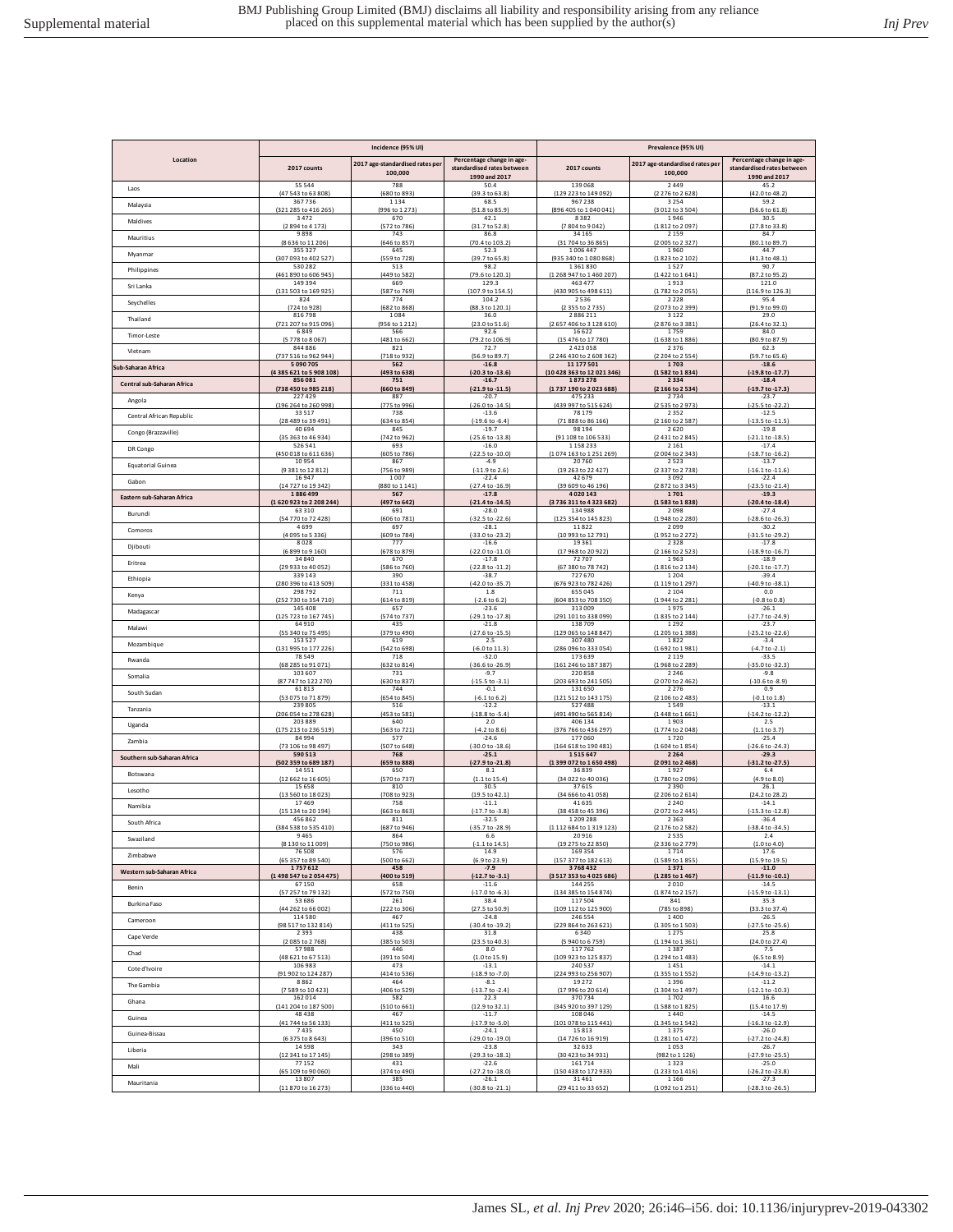|                             | Incidence (95% UI)              |                                            |                                                                          | Prevalence (95% UI)                    |                                            |                                                                          |  |
|-----------------------------|---------------------------------|--------------------------------------------|--------------------------------------------------------------------------|----------------------------------------|--------------------------------------------|--------------------------------------------------------------------------|--|
| Location                    | 2017 counts                     | 2017 age-standardised rates per<br>100,000 | Percentage change in age-<br>standardised rates between<br>1990 and 2017 | 2017 counts                            | 2017 age-standardised rates per<br>100,000 | Percentage change in age-<br>standardised rates between<br>1990 and 2017 |  |
| Laos                        | 55544                           | 788                                        | 50.4                                                                     | 139 068                                | 2449                                       | 45.2                                                                     |  |
|                             | (47 543 to 63 808)              | (680 to 893)                               | (39.3 to 63.8)                                                           | (129 223 to 149 092)                   | (2276 to 2628)                             | (42.0 to 48.2)                                                           |  |
| Malaysia                    | 367736                          | 1134                                       | 68.5                                                                     | 967238                                 | 3254                                       | 59.2                                                                     |  |
|                             | (321 285 to 416 265)            | (996 to 1 273)                             | (51.8 to 85.9)                                                           | (896 405 to 1040 041)                  | (3012 to 3504)                             | (56.6 to 61.8)                                                           |  |
| Maldives                    | 3472                            | 670                                        | 42.1                                                                     | 8382                                   | 1946                                       | 30.5                                                                     |  |
|                             | (2894 to 4173)                  | (572 to 786)                               | (31.7 to 52.8)                                                           | (7 804 to 9 042)                       | (1812 to 2097)                             | (27.8 to 33.8)                                                           |  |
| Mauritius                   | 9898                            | 743                                        | 86.8                                                                     | 34 165                                 | 2159                                       | 84.7                                                                     |  |
|                             | (8 636 to 11 206)               | (646 to 857)                               | (70.4 to 103.2)                                                          | (31 704 to 36 865)                     | (2005 to 2327)                             | (80.1 to 89.7)                                                           |  |
| Myanmar                     | 355 327                         | 645                                        | 52.3                                                                     | 1006447                                | 1960                                       | 44.7                                                                     |  |
|                             | (307 093 to 402 527)            | (559 to 728)                               | (39.7 to 65.8)                                                           | (935 340 to 1 080 868)                 | (1823 to 2 102)                            | (41.3 to 48.1)                                                           |  |
| Philippines                 | 530 282                         | 513                                        | 98.2                                                                     | 1361830                                | 1527                                       | 90.7                                                                     |  |
|                             | (461 890 to 606 945)            | (449 to 582)                               | (79.6 to 120.1)                                                          | (1 268 947 to 1 460 207)               | (1422 to 1641)                             | (87.2 to 95.2)                                                           |  |
| Sri Lanka                   | 149394                          | 669                                        | 129.3                                                                    | 463 477                                | 1913                                       | 121.0                                                                    |  |
|                             | (131 503 to 169 925)            | (587 to 769)                               | (107.9 to 154.5)                                                         | (430 905 to 498 611)                   | (1782 to 2055)                             | (116.9 to 126.3)                                                         |  |
| Seychelles                  | 824                             | 774                                        | 104.2                                                                    | 2536                                   | 2228                                       | 95.4                                                                     |  |
|                             | (724 to 928)                    | (682 to 868)                               | (88.3 to 120.1)                                                          | (2 355 to 2 735)                       | (2073 to 2399)                             | (91.9 to 99.0)                                                           |  |
| Thailand                    | 816798                          | 1084                                       | 36.0                                                                     | 2886211                                | 3122                                       | 29.0                                                                     |  |
|                             | (721 207 to 915 096)            | (956 to 1 212)                             | (23.0 to 51.6)                                                           | (2657 406 to 3128 610)                 | (2876 to 3381)                             | (26.4 to 32.1)                                                           |  |
| Timor-Leste                 | 6849                            | 566                                        | 92.6                                                                     | 16622                                  | 1759                                       | 84.0                                                                     |  |
|                             | (5778 to 8067)                  | (481 to 662)                               | (79.2 to 106.9)                                                          | (15 476 to 17 780)                     | (1638 to 1886)                             | (80.9 to 87.9)                                                           |  |
| Vietnam                     | 844886                          | 821<br>(718 to 932                         | 72.7<br>(56.9 to 89.7                                                    | 2423058                                | 2376<br>(2 204 to 2 554                    | 62.3<br>(59.7 to 65.6)                                                   |  |
| Sub-Saharan Africa          | (737 516 to 962 944)<br>5090705 | 562                                        | $-16.8$                                                                  | (2 246 430 to 2 608 362)<br>11 177 501 | 1703                                       | $-18.6$                                                                  |  |
| Central sub-Saharan Africa  | (4385 621 to 5 908 108)         | (493 to 638)                               | (-20.3 to -13.6)                                                         | (10 428 363 to 12 021 346)             | (1582 to 1834                              | (-19.8 to -17.7                                                          |  |
|                             | 856081                          | 751                                        | $-16.7$                                                                  | 1873278                                | 2334                                       | $-18.4$                                                                  |  |
| Angola                      | (738 450 to 985 218)            | (660 to 849)                               | $(-21.9 \text{ to } -11.5)$                                              | (1737 190 to 2023 688)                 | (2166 to 2534)                             | $(-19.7 to -17.3)$                                                       |  |
|                             | 227429                          | 887                                        | $-20.7$                                                                  | 475 233                                | 2734                                       | $-23.7$                                                                  |  |
| Central African Republic    | (196 264 to 260 998)            | (775 to 996)                               | $(-26.0 to -14.5)$                                                       | (439 997 to 515 624)                   | (2535 to 2973)                             | (-25.5 to -22.2)                                                         |  |
|                             | 33517                           | 738                                        | $-13.6$                                                                  | 78 179                                 | 2352                                       | $-12.5$                                                                  |  |
| Congo (Brazzaville)         | (28 489 to 39 491)              | (634 to 854)                               | $(-19.6 \text{ to } -6.4)$                                               | (71 888 to 86 166)                     | (2 160 to 2 587)                           | $(-13.5 \text{ to } -11.5)$                                              |  |
|                             | 40694                           | 845                                        | $-19.7$                                                                  | 98 194                                 | 2620                                       | $-19.8$                                                                  |  |
| DR Congo                    | (35 363 to 46 934)              | (742 to 962)                               | $(-25.6 \text{ to } -13.8)$                                              | (91 108 to 106 533)                    | (2431 to 2845)                             | $(-21.1 to -18.5)$                                                       |  |
|                             | 526 541                         | 693                                        | $-16.0$                                                                  | 1158233                                | 2 1 6 1                                    | $-17.4$                                                                  |  |
| <b>Equatorial Guinea</b>    | (450 018 to 611 636)            | (605 to 786)                               | $(-22.5 to -10.0)$                                                       | (1074 163 to 1251 269)                 | (2004 to 2343)                             | $(-18.7 to -16.2)$                                                       |  |
|                             | 10954                           | 867                                        | $-4.9$                                                                   | 20760                                  | 2523                                       | $-13.7$                                                                  |  |
| Gabon                       | (9 381 to 12 812)               | (756 to 989)                               | $(-11.9 to 2.6)$                                                         | (19 263 to 22 427)                     | (2337 to 2738)                             | $(-16.1 to -11.6)$                                                       |  |
|                             | 16947                           | 1007                                       | $-22.4$                                                                  | 42679                                  | 3092                                       | $-22.4$                                                                  |  |
| Eastern sub-Saharan Africa  | (14 727 to 19 342)              | (880 to 1 141)                             | $(-27.4 \text{ to } -16.9)$                                              | (39 609 to 46 196)                     | (2872 to 3345)                             | $(-23.5$ to $-21.4)$                                                     |  |
|                             | 1886499                         | 567                                        | $-17.8$                                                                  | 4020143                                | 1701                                       | $-19.3$                                                                  |  |
| Burundi                     | (1620923 to 2208244)            | (497 to 642)                               | (-21.4 to -14.5)                                                         | (3736 311 to 4323 682)                 | (1583 to 1838)                             | (-20.4 to -18.4)                                                         |  |
|                             | 63310                           | 691                                        | $-28.0$                                                                  | 134988                                 | 2098                                       | $-27.4$                                                                  |  |
| Comoros                     | (54 770 to 72 428)              | (606 to 781)                               | $(-32.5$ to $-22.6)$                                                     | (125 354 to 145 823)                   | (1948 to 2 280)                            | $(-28.6 \text{ to } -26.3)$                                              |  |
|                             | 4699                            | 697                                        | $-28.1$                                                                  | 11822                                  | 2099                                       | $-30.2$                                                                  |  |
| Djibouti                    | (4 095 to 5 336)                | (609 to 784)                               | (-33.0 to -23.2)                                                         | (10 993 to 12 791)                     | (1952 to 2272)                             | (-31.5 to -29.2)                                                         |  |
|                             | 8028                            | 777                                        | $-16.6$                                                                  | 19361                                  | 2328                                       | $-17.8$                                                                  |  |
| Eritrea                     | (6 899 to 9 160)                | (678 to 879)                               | $(-22.0 to -11.0)$                                                       | (17 968 to 20 922)                     | (2 166 to 2 523)                           | $(-18.9 to -16.7)$                                                       |  |
|                             | 34840                           | 670                                        | $-17.8$                                                                  | 72707                                  | 1963                                       | $-18.9$                                                                  |  |
|                             | (29 933 to 40 052)              | (586 to 760)                               | (-22.8 to -11.2)                                                         | (67 380 to 78 742)                     | (1816 to 2134)                             | $(-20.1 to -17.7)$                                                       |  |
|                             | 339 143                         | 390                                        | $-38.7$                                                                  | 727670                                 | 1204                                       | $-39.4$                                                                  |  |
| Ethiopia                    | (280 396 to 413 509)            | (331 to 458)                               | (-42.0 to -35.7)                                                         | (676 923 to 782 426                    | (1119 to 1297                              | (-40.9 to -38.1)                                                         |  |
|                             | 298792                          | 711                                        | $1.8\,$                                                                  | 655 045                                | 2104                                       | $0.0\,$                                                                  |  |
| Kenya                       | (252 730 to 354 710)            | (614 to 819)                               | $(-2.6 \text{ to } 6.2)$                                                 | (604 853 to 708 350)                   | (1944 to 2281)                             | $(-0.8 to 0.8)$                                                          |  |
|                             | 145 408                         | 657                                        | $-23.6$                                                                  | 313009                                 | 1975                                       | $-26.1$                                                                  |  |
| Madagascar<br>Malawi        | [125 723 to 167 745]<br>64910   | (574 to 737<br>435                         | $(-29.1 to -17.8)$<br>$-21.8$                                            | 101 to 338 099<br>(29)<br>138709       | (1835 to 2144)<br>1292                     | (-27.7 to -24.9)<br>$-23.7$                                              |  |
|                             | (55 340 to 75 495)              | (379 to 490)                               | $(-27.6 \text{ to } -15.5)$                                              | (129 065 to 148 847)                   | (1205 to 1388)                             | $(-25.2$ to $-22.6)$                                                     |  |
|                             | 153 527                         | 619                                        | 2.5                                                                      | 307480                                 | 1822                                       | $-3.4$                                                                   |  |
| Mozambique                  | (131 995 to 177 226)            | (542 to 698)                               | $(-6.0 \text{ to } 11.3)$                                                | (286 096 to 333 054)                   | (1692 to 1981)                             | $(-4.7 to -2.1)$                                                         |  |
|                             | 78549                           | 718                                        | $-32.0$                                                                  | 173639                                 | 2119                                       | $-33.5$                                                                  |  |
| Rwanda                      | (68 285 to 91 071)              | (632 to 814)                               | $(-36.6 \text{ to } -26.9)$                                              | (161 246 to 187 387)                   | (1968 to 2289)                             | $(-35.0 to -32.3)$                                                       |  |
|                             | 103 607                         | 731                                        | $-9.7$                                                                   | 220858                                 | 2246                                       | $-9.8$                                                                   |  |
| Somalia                     | (87 747 to 122 270)             | (630 to 837)                               | $(-15.5 \text{ to } -3.1)$                                               | (203 693 to 241 505)                   | (2070 to 2462                              | $(-10.6 to -8.9)$                                                        |  |
|                             | 61813                           | 744                                        | $-0.1$                                                                   | 131650                                 | 2276                                       | 0.9                                                                      |  |
| South Sudan                 | (53 075 to 71 879)              | (654 to 845)                               | $(-6.1 to 6.2)$                                                          | (121 512 to 143 175)                   | (2 106 to 2 483)                           | $(-0.1 to 1.8)$                                                          |  |
|                             | 239 805                         | 516                                        | $-12.2$                                                                  | 527488                                 | 1549                                       | $-13.1$                                                                  |  |
| Tanzania                    | (206 054 to 278 628)            | (453 to 581)                               | $(-18.8 \text{ to } -5.4)$                                               | (491 490 to 565 814)                   | (1448 to 1661)                             | (-14.2 to -12.2)                                                         |  |
|                             | 203 889                         | 640                                        | 2.0                                                                      | 406 134                                | 1903                                       | 2.5                                                                      |  |
| Uganda                      | (175 213 to 236 519)            | (563 to 721)                               | $(-4.2 \text{ to } 8.6)$                                                 | (376 766 to 436 297)                   | (1774 to 2048)                             | (1.1 to 3.7)                                                             |  |
|                             | 84994                           | 577                                        | $-24.6$                                                                  | 177060                                 | 1720                                       | $-25.4$                                                                  |  |
| Zambia                      | (73 106 to 98 497               | (507 to 648)                               | $(-30.0 to -18.6)$                                                       | (164 618 to 190 481)                   | (1604 to 1854                              | $(-26.6 \text{ to } -24.3)$                                              |  |
|                             | 590 513                         | 768                                        | $-25.1$                                                                  | 1515647                                | 2264                                       | $-29.3$                                                                  |  |
| Southern sub-Saharan Africa | (502 359 to 689 187)            | (659 to 888)                               | (-27.9 to -21.8)                                                         | (1399 072 to 1650 498)                 | (2091 to 2468)                             | $4-31.2$ to $-27.5$                                                      |  |
|                             | 14551                           | 650                                        | 8.1                                                                      | 36839                                  | 1927                                       | 6.4                                                                      |  |
| <b>Botswana</b>             | (12 662 to 16 605)              | (570 to 737)                               | $(1.1 \text{ to } 15.4)$                                                 | (34 022 to 40 036)                     | (1780 to 2096)                             | $(4.9 \text{ to } 8.0)$                                                  |  |
|                             | 15658                           | 810                                        | 30.5                                                                     | 37615                                  | 2390                                       | 26.1                                                                     |  |
| Lesotho                     | (13 560 to 18 023)              | (708 to 923)                               | (19.5 to 42.1)                                                           | (34 666 to 41 058)                     | (2 206 to 2 614)                           | (24.2 to 28.2)                                                           |  |
|                             | 17469                           | 758                                        | $-11.1$                                                                  | 41635                                  | 2240                                       | $-14.1$                                                                  |  |
| Namibia                     | (15 134 to 20 194)              | (663 to 863)                               | $(-17.7)$ to $-3.8$                                                      | (38 458 to 45 396)                     | (2072 to 2445)                             | (-15.3 to -12.8)                                                         |  |
|                             | 456 862                         | 811                                        | $-32.5$                                                                  | 1 209 288                              | 2363                                       | $-36.4$                                                                  |  |
| South Africa                | (384 538 to 535 410)<br>9465    | (687 to 946)<br>864                        | (-35.7 to -28.9)                                                         | (1112 684 to 1319 123)<br>20916        | (2176 to 2582<br>2535                      | $(-38.4 \text{ to } -34.5)$<br>2.4                                       |  |
| Swaziland                   | (8 130 to 11 009)               | (750 to 986)                               | 6.6<br>$(-1.1 \text{ to } 14.5)$                                         | (19 275 to 22 850)                     | (2336 to 2779)                             | (1.0 to 4.0)                                                             |  |
| Zimbabwe                    | 76508                           | 576                                        | 14.9                                                                     | 169 354                                | 1714                                       | 17.6                                                                     |  |
|                             | (65 357 to 89 540)              | (500 to 662)                               | (6.9 to 23.9)                                                            | (157 377 to 182 613)                   | (1589 to 1855)                             | (15.9 to 19.5)                                                           |  |
| Western sub-Saharan Africa  | 1757612                         | 458                                        | $-7.9$                                                                   | 3768432                                | 1371                                       | $-11.0$                                                                  |  |
|                             | (1498 547 to 2054 475)          | (400 to 519)                               | $(-12.7 to -3.1)$                                                        | (3 517 353 to 4 025 686)               | (1285 to 1467)                             | (-11.9 to -10.1)                                                         |  |
| Benin                       | 67150                           | 658                                        | $-11.6$                                                                  | 144 255                                | 2010                                       | $-14.5$                                                                  |  |
|                             | (57 257 to 79 132)              | (572 to 750)                               | $(-17.0 to -6.3)$                                                        | (134 385 to 154 874)                   | (1874 to 2157)                             | (-15.9 to -13.1)                                                         |  |
| Burkina Faso                | 53686                           | 261                                        | 38.4                                                                     | 117504                                 | 841                                        | 35.3                                                                     |  |
|                             | (44 262 to 66 002)              | (222 to 306)                               | (27.5 to 50.9)                                                           | (109 112 to 125 900)                   | (785 to 898)                               | (33.3 to 37.4)                                                           |  |
| Cameroon                    | 114 580                         | 467                                        | $-24.8$                                                                  | 246 554                                | 1400                                       | $-26.5$                                                                  |  |
|                             | (98 517 to 132 814)             | (411 to 525)                               | (-30.4 to -19.2)                                                         | (229 864 to 263 621)                   | (1305 to 1503)                             | $(-27.5$ to $-25.6)$                                                     |  |
| Cape Verde                  | 2393                            | 438                                        | 31.8                                                                     | 6340                                   | 1275                                       | 25.8                                                                     |  |
|                             | (2085 to 2768)                  | (385 to 503)                               | (23.5 to 40.3)                                                           | (5 940 to 6 759)                       | (1194 to 1361)                             | (24.0 to 27.4)                                                           |  |
| Chad                        | 57988                           | 446                                        | 8.0                                                                      | 117762                                 | 1387                                       | 7.5                                                                      |  |
|                             | (48 621 to 67 513)              | (391 to 504)                               | (1.0 to 15.9)                                                            | (109 923 to 125 837)                   | (1294 to 1483)                             | (6.5 to 8.9)                                                             |  |
| Cote d'Ivoire               | 106 983                         | 473                                        | $-13.1$                                                                  | 240 537                                | 1451                                       | $-14.1$                                                                  |  |
|                             | (91 902 to 124 287)             | (414 to 536)                               | $(-18.9 to -7.0)$                                                        | (224 993 to 256 907)                   | (1355 to 1552)                             | $(-14.9 to -13.2)$                                                       |  |
| The Gambia                  | 8862                            | 464                                        | $-8.1$                                                                   | 19 27 2                                | 1396                                       | $-11.2$                                                                  |  |
|                             | (7589 to 10423)                 | (406 to 529)                               | $(-13.7 to -2.4)$                                                        | (17 996 to 20 614)                     | (1304 to 1497)                             | $(-12.1 to -10.3)$                                                       |  |
| Ghana                       | 162014                          | 582                                        | 22.3                                                                     | 370734                                 | 1702                                       | 16.6                                                                     |  |
|                             | (141 204 to 187 500)            | (510 to 661)                               | (12.9 to 32.1)                                                           | (345 920 to 397 129)                   | (1588 to 1825)                             | (15.4 to 17.9)                                                           |  |
| Guinea                      | 48438                           | 467                                        | $-11.7$                                                                  | 108 046                                | 1440                                       | $-14.5$                                                                  |  |
|                             | (41 744 to 56 133)              | (411 to 525)                               | $(-17.9 to -5.0)$                                                        | (101 078 to 115 441)                   | (1345 to 1542)                             | $(-16.3 to -12.9)$                                                       |  |
| Guinea-Bissau               | 7435                            | 450                                        | $-24.1$                                                                  | 15813                                  | 1375                                       | $-26.0$                                                                  |  |
|                             | (6375 to 8643)                  | (396 to 510)                               | (-29.0 to -19.0)                                                         | (14 726 to 16 919)                     | (1281 to 1472)                             | (-27.2 to -24.8)                                                         |  |
| Liberia                     | 14598                           | 343                                        | $-23.8$                                                                  | 32 633                                 | 1053                                       | $-26.7$                                                                  |  |
|                             | (12 341 to 17 145)              | (298 to 389)                               | $(-29.3 to -18.1)$                                                       | (30 423 to 34 931)                     | (982 to 1 126)                             | (-27.9 to -25.5)                                                         |  |
| Mali                        | 77152                           | 431                                        | $-22.6$                                                                  | 161714                                 | 1323                                       | $-25.0$                                                                  |  |
|                             | (65 109 to 90 060)              | (374 to 490)                               | (-27.2 to -18.0)                                                         | (150 438 to 172 933)                   | (1233 to 1416)                             | $(-26.2$ to $-23.8)$                                                     |  |
| Mauritania                  | 13807                           | 385                                        | $-26.1$                                                                  | 31461                                  | 1166                                       | $-27.3$                                                                  |  |
|                             | (11 870 to 16 273)              | (336 to 440)                               | $(-30.8$ to $-21.1)$                                                     | (29 411 to 33 652)                     | (1092 to 1251)                             | $(-28.3 to -26.5)$                                                       |  |
|                             |                                 |                                            |                                                                          |                                        |                                            |                                                                          |  |